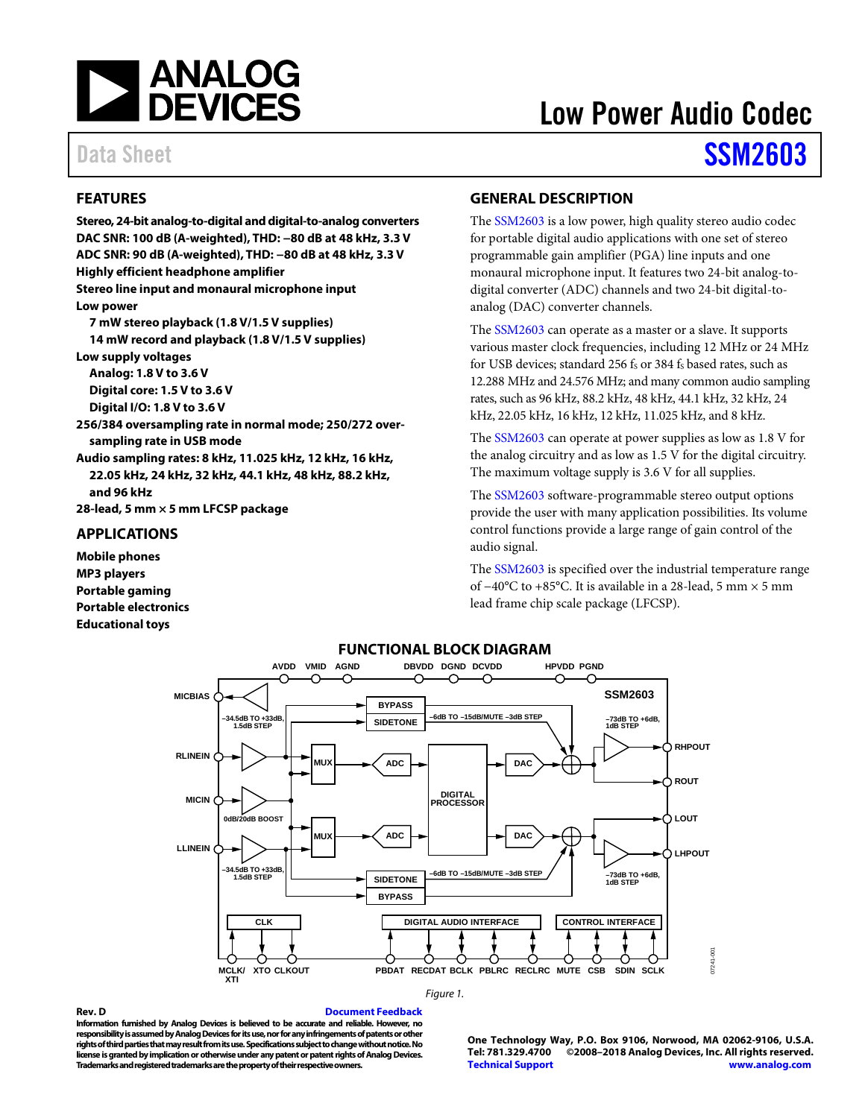

### <span id="page-0-0"></span>**FEATURES**

**DAC SNR: 100 dB (A-weighted), THD: −80 dB at 48 kHz, 3.3 V ADC SNR: 90 dB (A-weighted), THD: −80 dB at 48 kHz, 3.3 V Highly efficient headphone amplifier Stereo line input and monaural microphone input Low power 7 mW stereo playback (1.8 V/1.5 V supplies) 14 mW record and playback (1.8 V/1.5 V supplies) Low supply voltages Analog: 1.8 V to 3.6 V Digital core: 1.5 V to 3.6 V Digital I/O: 1.8 V to 3.6 V 256/384 oversampling rate in normal mode; 250/272 oversampling rate in USB mode Audio sampling rates: 8 kHz, 11.025 kHz, 12 kHz, 16 kHz,** 

**Stereo, 24-bit analog-to-digital and digital-to-analog converters**

**22.05 kHz, 24 kHz, 32 kHz, 44.1 kHz, 48 kHz, 88.2 kHz, and 96 kHz**

**28-lead, 5 mm × 5 mm LFCSP package**

### <span id="page-0-1"></span>**APPLICATIONS**

**Mobile phones MP3 players Portable gaming Portable electronics Educational toys**

<span id="page-0-2"></span>**GENERAL DESCRIPTION**

The [SSM2603](http://www.analog.com/SSM2603?doc=SSM2603.pdf) is a low power, high quality stereo audio codec for portable digital audio applications with one set of stereo programmable gain amplifier (PGA) line inputs and one monaural microphone input. It features two 24-bit analog-todigital converter (ADC) channels and two 24-bit digital-toanalog (DAC) converter channels.

The [SSM2603](http://www.analog.com/SSM2603?doc=SSM2603.pdf) can operate as a master or a slave. It supports various master clock frequencies, including 12 MHz or 24 MHz for USB devices; standard 256 fs or 384 fs based rates, such as 12.288 MHz and 24.576 MHz; and many common audio sampling rates, such as 96 kHz, 88.2 kHz, 48 kHz, 44.1 kHz, 32 kHz, 24 kHz, 22.05 kHz, 16 kHz, 12 kHz, 11.025 kHz, and 8 kHz.

The [SSM2603](http://www.analog.com/SSM2603?doc=SSM2603.pdf) can operate at power supplies as low as 1.8 V for the analog circuitry and as low as 1.5 V for the digital circuitry. The maximum voltage supply is 3.6 V for all supplies.

The [SSM2603](http://www.analog.com/SSM2603?doc=SSM2603.pdf) software-programmable stereo output options provide the user with many application possibilities. Its volume control functions provide a large range of gain control of the audio signal.

The [SSM2603](http://www.analog.com/SSM2603?doc=SSM2603.pdf) is specified over the industrial temperature range of −40°C to +85°C. It is available in a 28-lead, 5 mm × 5 mm lead frame chip scale package (LFCSP).

<span id="page-0-3"></span>

#### *Figure 1.*

**Rev. D [Document Feedback](https://form.analog.com/Form_Pages/feedback/documentfeedback.aspx?doc=SSM2603.pdf&product=SSM2603&rev=D) Information furnished by Analog Devices is believed to be accurate and reliable. However, no responsibility is assumed by Analog Devices for its use, nor for any infringements of patents or other rights of third parties that may result from its use. Specifications subject to change without notice. No license is granted by implication or otherwise under any patent or patent rights of Analog Devices. Trademarks and registered trademarks are the property of their respective owners.**

**One Technology Way, P.O. Box 9106, Norwood, MA 02062-9106, U.S.A. Tel: 781.329.4700 ©2008–2018 Analog Devices, Inc. All rights reserved. [Technical Support](http://www.analog.com/en/content/technical_support_page/fca.html) [www.analog.com](http://www.analog.com/)**

# Low Power Audio Codec

## Data Sheet **[SSM2603](http://www.analog.com/SSM2603?doc=SSM2603.pdf)**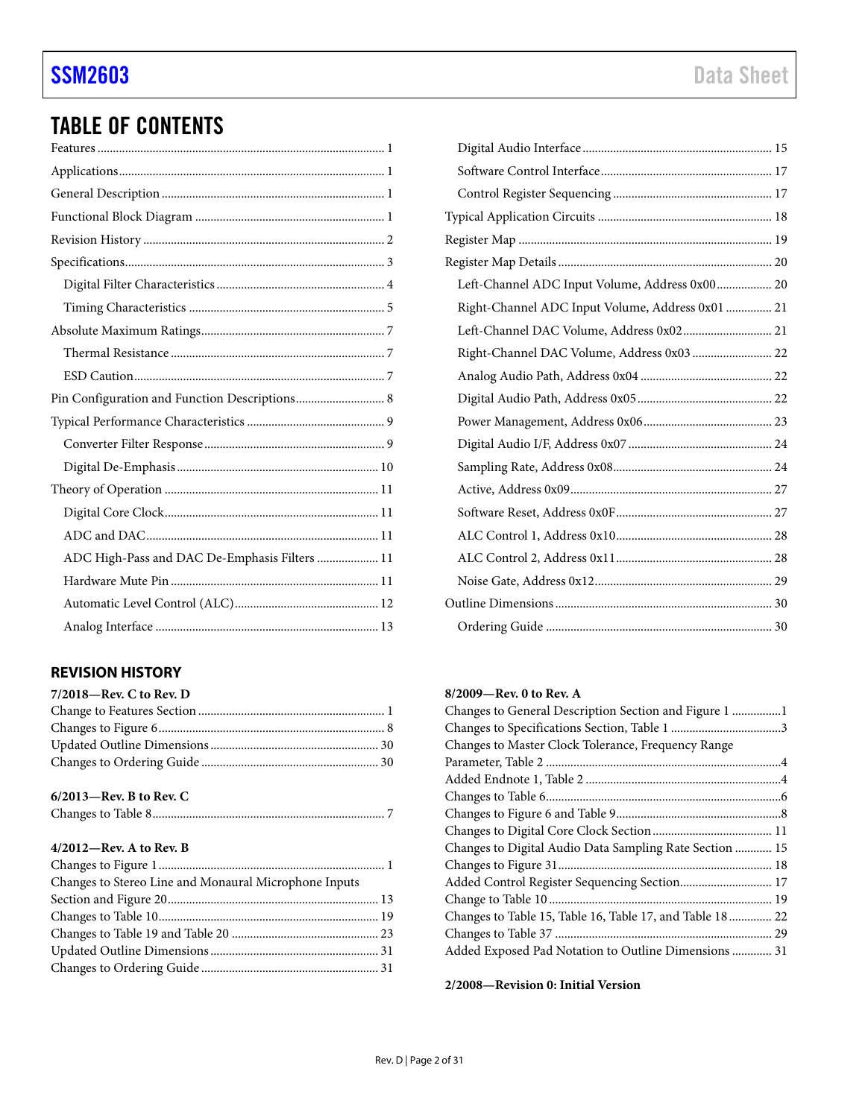## TABLE OF CONTENTS

| Pin Configuration and Function Descriptions 8 |  |
|-----------------------------------------------|--|
|                                               |  |
|                                               |  |
|                                               |  |
|                                               |  |
|                                               |  |
|                                               |  |
| ADC High-Pass and DAC De-Emphasis Filters  11 |  |
|                                               |  |
|                                               |  |
|                                               |  |

### <span id="page-1-0"></span>**REVISION HISTORY**

### **6/2013—Rev. B to Rev. C**

|--|

### **4/2012—Rev. A to Rev. B**

| Changes to Stereo Line and Monaural Microphone Inputs |  |
|-------------------------------------------------------|--|
|                                                       |  |
|                                                       |  |
|                                                       |  |
|                                                       |  |
|                                                       |  |
|                                                       |  |

| Left-Channel ADC Input Volume, Address 0x00 20   |  |
|--------------------------------------------------|--|
| Right-Channel ADC Input Volume, Address 0x01  21 |  |
|                                                  |  |
| Right-Channel DAC Volume, Address 0x03  22       |  |
|                                                  |  |
|                                                  |  |
|                                                  |  |
|                                                  |  |
|                                                  |  |
|                                                  |  |
|                                                  |  |
|                                                  |  |
|                                                  |  |
|                                                  |  |
|                                                  |  |
|                                                  |  |

### **8/2009—Rev. 0 to Rev. A**

| Changes to General Description Section and Figure 1 1     |  |
|-----------------------------------------------------------|--|
|                                                           |  |
| Changes to Master Clock Tolerance, Frequency Range        |  |
|                                                           |  |
|                                                           |  |
|                                                           |  |
|                                                           |  |
|                                                           |  |
| Changes to Digital Audio Data Sampling Rate Section  15   |  |
|                                                           |  |
| Added Control Register Sequencing Section 17              |  |
|                                                           |  |
| Changes to Table 15, Table 16, Table 17, and Table 18  22 |  |
|                                                           |  |
| Added Exposed Pad Notation to Outline Dimensions  31      |  |
|                                                           |  |

**2/2008—Revision 0: Initial Version**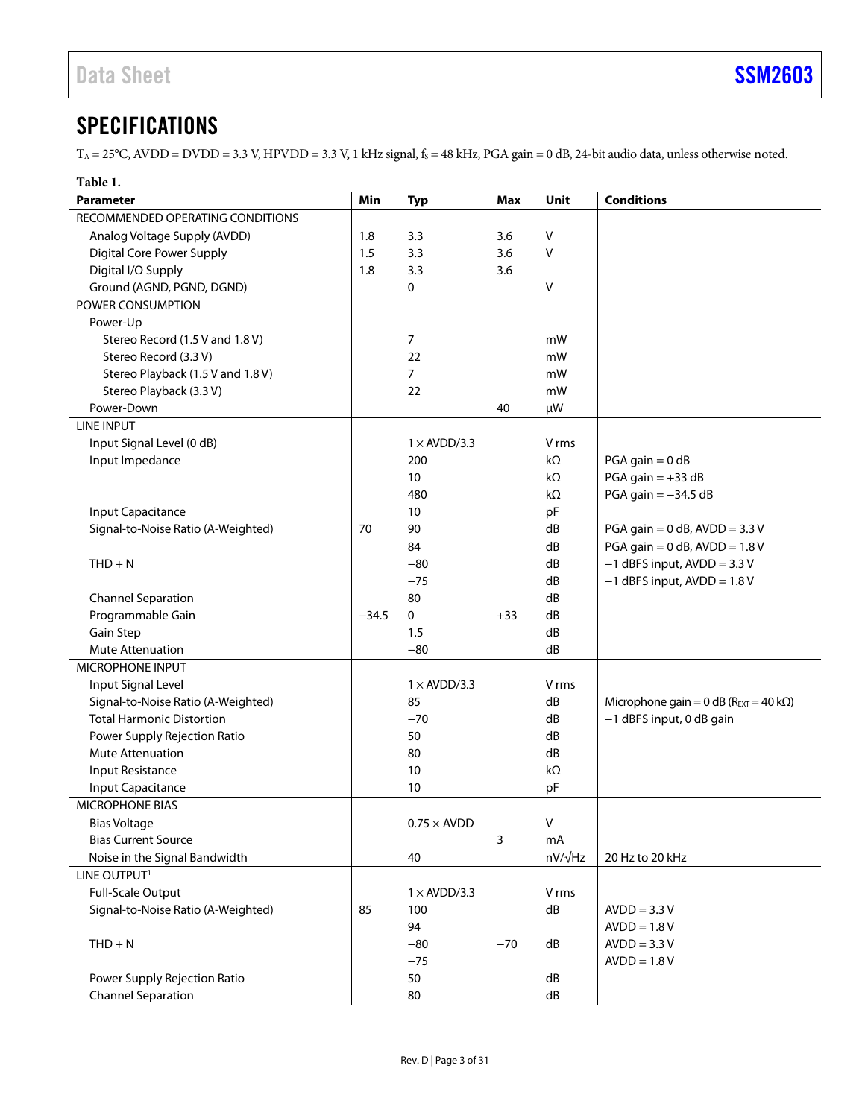### <span id="page-2-0"></span>**SPECIFICATIONS**

 $T_A = 25^{\circ}$ C, AVDD = DVDD = 3.3 V, HPVDD = 3.3 V, 1 kHz signal,  $f_s = 48$  kHz, PGA gain = 0 dB, 24-bit audio data, unless otherwise noted.

| Table 1.                           |         |                     |            |                |                                                        |
|------------------------------------|---------|---------------------|------------|----------------|--------------------------------------------------------|
| <b>Parameter</b>                   | Min     | <b>Typ</b>          | <b>Max</b> | Unit           | <b>Conditions</b>                                      |
| RECOMMENDED OPERATING CONDITIONS   |         |                     |            |                |                                                        |
| Analog Voltage Supply (AVDD)       | 1.8     | 3.3                 | 3.6        | v              |                                                        |
| <b>Digital Core Power Supply</b>   | 1.5     | 3.3                 | 3.6        | V              |                                                        |
| Digital I/O Supply                 | 1.8     | 3.3                 | 3.6        |                |                                                        |
| Ground (AGND, PGND, DGND)          |         | 0                   |            | v              |                                                        |
| POWER CONSUMPTION                  |         |                     |            |                |                                                        |
| Power-Up                           |         |                     |            |                |                                                        |
| Stereo Record (1.5 V and 1.8 V)    |         | 7                   |            | mW             |                                                        |
| Stereo Record (3.3 V)              |         | 22                  |            | mW             |                                                        |
| Stereo Playback (1.5 V and 1.8 V)  |         | $\overline{7}$      |            | mW             |                                                        |
| Stereo Playback (3.3 V)            |         | 22                  |            | mW             |                                                        |
| Power-Down                         |         |                     | 40         | μW             |                                                        |
| <b>LINE INPUT</b>                  |         |                     |            |                |                                                        |
| Input Signal Level (0 dB)          |         | $1 \times$ AVDD/3.3 |            | V rms          |                                                        |
| Input Impedance                    |         | 200                 |            | kΩ             | $PGA gain = 0 dB$                                      |
|                                    |         | 10                  |            | kΩ             | $PGA gain = +33 dB$                                    |
|                                    |         | 480                 |            | $k\Omega$      | PGA gain $=-34.5$ dB                                   |
| <b>Input Capacitance</b>           |         | 10                  |            | pF             |                                                        |
| Signal-to-Noise Ratio (A-Weighted) | 70      | 90                  |            | dB             | PGA gain = $0$ dB, AVDD = $3.3$ V                      |
|                                    |         | 84                  |            | dB             | PGA gain = $0$ dB, AVDD = $1.8$ V                      |
| $THD + N$                          |         | $-80$               |            | dB             | $-1$ dBFS input, AVDD = 3.3 V                          |
|                                    |         | $-75$               |            | dB             | $-1$ dBFS input, AVDD = 1.8 V                          |
| <b>Channel Separation</b>          |         | 80                  |            | dB             |                                                        |
| Programmable Gain                  | $-34.5$ | 0                   | $+33$      | dB             |                                                        |
| Gain Step                          |         | 1.5                 |            | dB             |                                                        |
| <b>Mute Attenuation</b>            |         | $-80$               |            | dB             |                                                        |
| MICROPHONE INPUT                   |         |                     |            |                |                                                        |
| Input Signal Level                 |         | $1 \times$ AVDD/3.3 |            | V rms          |                                                        |
| Signal-to-Noise Ratio (A-Weighted) |         | 85                  |            | dB             | Microphone gain = $0$ dB ( $R_{EXT}$ = 40 k $\Omega$ ) |
| <b>Total Harmonic Distortion</b>   |         | $-70$               |            | dB             | -1 dBFS input, 0 dB gain                               |
| Power Supply Rejection Ratio       |         | 50                  |            | dB             |                                                        |
| Mute Attenuation                   |         | 80                  |            | dB             |                                                        |
| <b>Input Resistance</b>            |         | 10                  |            | kΩ             |                                                        |
| <b>Input Capacitance</b>           |         | 10                  |            | pF             |                                                        |
| <b>MICROPHONE BIAS</b>             |         |                     |            |                |                                                        |
| <b>Bias Voltage</b>                |         | $0.75 \times$ AVDD  |            | V              |                                                        |
| <b>Bias Current Source</b>         |         |                     | 3          | mA             |                                                        |
| Noise in the Signal Bandwidth      |         | 40                  |            | $nV/\sqrt{Hz}$ | 20 Hz to 20 kHz                                        |
| LINE OUTPUT <sup>1</sup>           |         |                     |            |                |                                                        |
| <b>Full-Scale Output</b>           |         | $1 \times$ AVDD/3.3 |            | V rms          |                                                        |
| Signal-to-Noise Ratio (A-Weighted) | 85      | 100                 |            | dB             | $AVDD = 3.3 V$                                         |
|                                    |         | 94                  |            |                | $AVDD = 1.8 V$                                         |
| $THD + N$                          |         | $-80$               | $-70$      | ${\sf dB}$     | $AVDD = 3.3 V$                                         |
|                                    |         | $-75$               |            |                | $AVDD = 1.8 V$                                         |
| Power Supply Rejection Ratio       |         | 50                  |            | ${\sf dB}$     |                                                        |
| <b>Channel Separation</b>          |         | 80                  |            | ${\sf dB}$     |                                                        |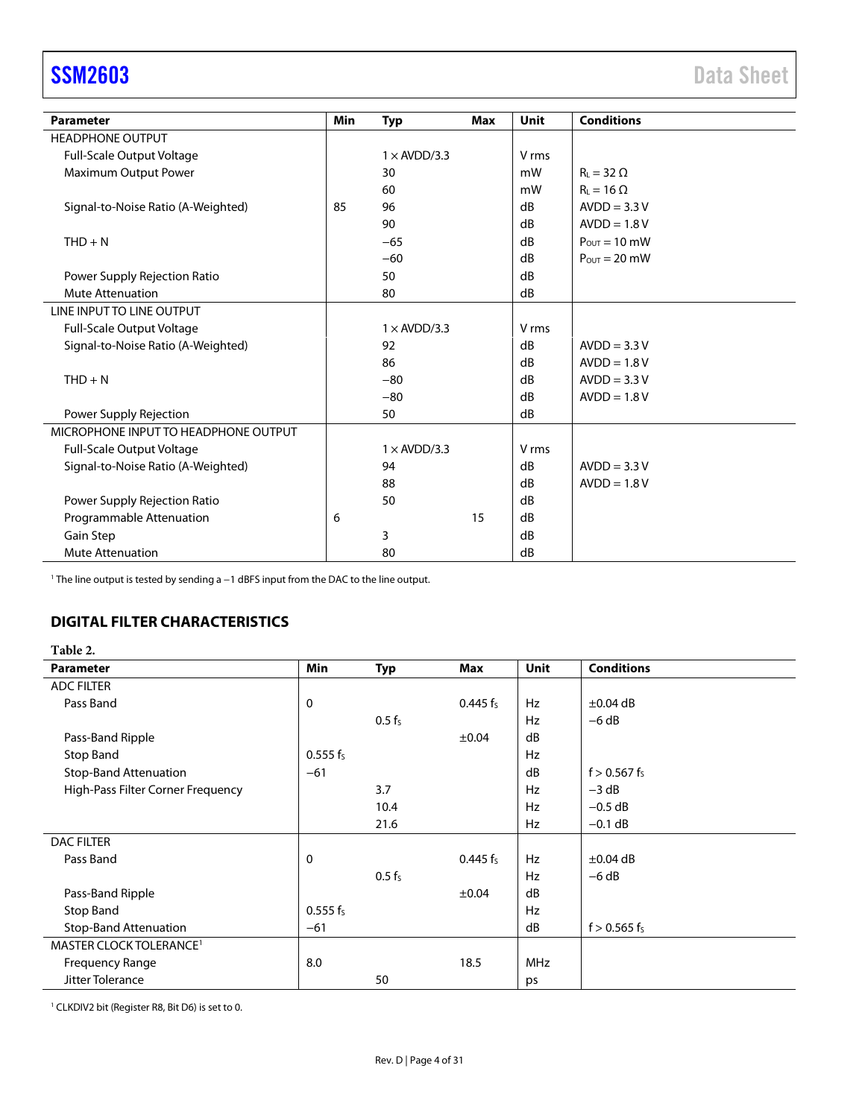<span id="page-3-1"></span>

| <b>Parameter</b>                     | Min | <b>Typ</b>          | <b>Max</b> | <b>Unit</b>      | <b>Conditions</b>                |
|--------------------------------------|-----|---------------------|------------|------------------|----------------------------------|
| <b>HEADPHONE OUTPUT</b>              |     |                     |            |                  |                                  |
| Full-Scale Output Voltage            |     | $1 \times$ AVDD/3.3 |            | V rms            |                                  |
| Maximum Output Power                 |     | 30                  |            | mW               | $R_1 = 32 \Omega$                |
|                                      |     | 60                  |            | mW               | $R_{L} = 16 \Omega$              |
| Signal-to-Noise Ratio (A-Weighted)   | 85  | 96                  |            | dB               | $AVDD = 3.3 V$                   |
|                                      |     | 90                  |            | dB               | $AVDD = 1.8 V$                   |
| $THD + N$                            |     | $-65$               |            | dB               | $P_{OUT} = 10$ mW                |
|                                      |     | $-60$               |            | dB               | $P_{\text{OUT}} = 20 \text{ mW}$ |
| Power Supply Rejection Ratio         |     | 50                  |            | dB               |                                  |
| <b>Mute Attenuation</b>              |     | 80                  |            | dB               |                                  |
| LINE INPUT TO LINE OUTPUT            |     |                     |            |                  |                                  |
| Full-Scale Output Voltage            |     | $1 \times$ AVDD/3.3 |            | V rms            |                                  |
| Signal-to-Noise Ratio (A-Weighted)   |     | 92                  |            | dB               | $AVDD = 3.3 V$                   |
|                                      |     | 86                  |            | dB               | $AVDD = 1.8 V$                   |
| $THD + N$                            |     | $-80$               |            | dB               | $AVDD = 3.3 V$                   |
|                                      |     | $-80$               |            | dB               | $AVDD = 1.8 V$                   |
| Power Supply Rejection               |     | 50                  |            | dB               |                                  |
| MICROPHONE INPUT TO HEADPHONE OUTPUT |     |                     |            |                  |                                  |
| <b>Full-Scale Output Voltage</b>     |     | $1 \times$ AVDD/3.3 |            | V <sub>rms</sub> |                                  |
| Signal-to-Noise Ratio (A-Weighted)   |     | 94                  |            | dB               | $AVDD = 3.3 V$                   |
|                                      |     | 88                  |            | dB               | $AVDD = 1.8 V$                   |
| Power Supply Rejection Ratio         |     | 50                  |            | dB               |                                  |
| Programmable Attenuation             | 6   |                     | 15         | dB               |                                  |
| Gain Step                            |     | 3                   |            | dB               |                                  |
| <b>Mute Attenuation</b>              |     | 80                  |            | dB               |                                  |

<sup>1</sup> The line output is tested by sending a −1 dBFS input from the DAC to the line output.

### <span id="page-3-0"></span>**DIGITAL FILTER CHARACTERISTICS**

### <span id="page-3-2"></span>**Table 2.**

| <b>Parameter</b>                    | <b>Min</b>  | <b>Typ</b>         | Max                  | <b>Unit</b> | <b>Conditions</b> |
|-------------------------------------|-------------|--------------------|----------------------|-------------|-------------------|
| <b>ADC FILTER</b>                   |             |                    |                      |             |                   |
| Pass Band                           | $\mathbf 0$ |                    | 0.445 $f_s$          | Hz          | $\pm 0.04$ dB     |
|                                     |             | 0.5 f <sub>s</sub> |                      | Hz          | $-6 dB$           |
| Pass-Band Ripple                    |             |                    | $\pm 0.04$           | dB          |                   |
| Stop Band                           | $0.555 f_s$ |                    |                      | Hz          |                   |
| <b>Stop-Band Attenuation</b>        | $-61$       |                    |                      | dB          | $f > 0.567$ fs    |
| High-Pass Filter Corner Frequency   |             | 3.7                |                      | <b>Hz</b>   | $-3$ dB           |
|                                     |             | 10.4               |                      | Hz          | $-0.5$ dB         |
|                                     |             | 21.6               |                      | Hz          | $-0.1$ dB         |
| <b>DAC FILTER</b>                   |             |                    |                      |             |                   |
| Pass Band                           | $\mathbf 0$ |                    | 0.445 f <sub>s</sub> | <b>Hz</b>   | $\pm 0.04$ dB     |
|                                     |             | $0.5 f_s$          |                      | <b>Hz</b>   | $-6 dB$           |
| Pass-Band Ripple                    |             |                    | $\pm 0.04$           | dB          |                   |
| Stop Band                           | $0.555 f_s$ |                    |                      | Hz          |                   |
| <b>Stop-Band Attenuation</b>        | $-61$       |                    |                      | dB          | $f > 0.565$ $f_s$ |
| MASTER CLOCK TOLERANCE <sup>1</sup> |             |                    |                      |             |                   |
| <b>Frequency Range</b>              | 8.0         |                    | 18.5                 | <b>MHz</b>  |                   |
| Jitter Tolerance                    |             | 50                 |                      | ps          |                   |

<sup>1</sup> CLKDIV2 bit (Register R8, Bit D6) is set to 0.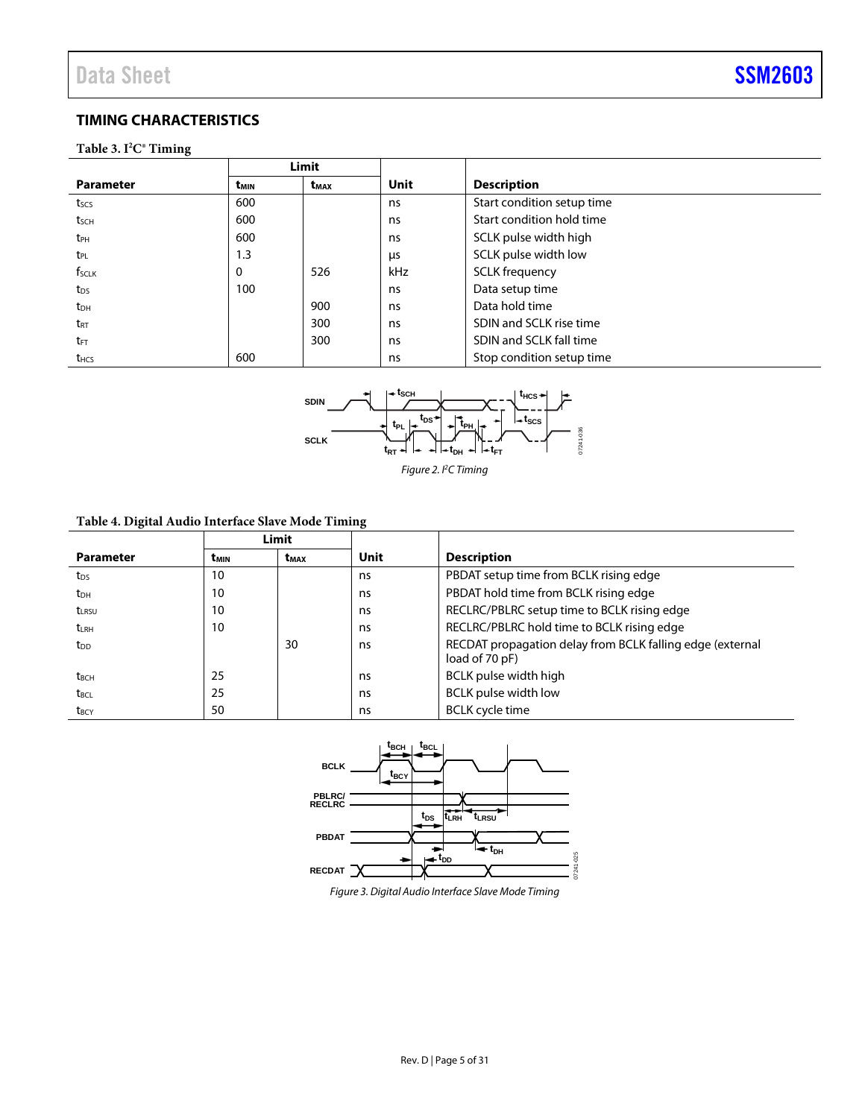### <span id="page-4-0"></span>**TIMING CHARACTERISTICS**

### **Table 3. I2 C® Timing**

|                   | Limit            |           |             |                            |
|-------------------|------------------|-----------|-------------|----------------------------|
| <b>Parameter</b>  | t <sub>MIN</sub> | $t_{MAX}$ | <b>Unit</b> | <b>Description</b>         |
| $t_{SCS}$         | 600              |           | ns          | Start condition setup time |
| tsch              | 600              |           | ns          | Start condition hold time  |
| t <sub>PH</sub>   | 600              |           | ns          | SCLK pulse width high      |
| t <sub>PL</sub>   | 1.3              |           | μs          | SCLK pulse width low       |
| f <sub>sclk</sub> | 0                | 526       | kHz         | <b>SCLK</b> frequency      |
| t <sub>DS</sub>   | 100              |           | ns          | Data setup time            |
| t <sub>DH</sub>   |                  | 900       | ns          | Data hold time             |
| t <sub>rt</sub>   |                  | 300       | ns          | SDIN and SCLK rise time    |
| t <sub>FT</sub>   |                  | 300       | ns          | SDIN and SCLK fall time    |
| t <sub>HCS</sub>  | 600              |           | ns          | Stop condition setup time  |



*Figure 2. I2C Timing*

### **Table 4. Digital Audio Interface Slave Mode Timing**

|                         |                  | Limit            |      |                                                                             |
|-------------------------|------------------|------------------|------|-----------------------------------------------------------------------------|
| <b>Parameter</b>        | t <sub>MIN</sub> | t <sub>MAX</sub> | Unit | <b>Description</b>                                                          |
| t <sub>DS</sub>         | 10               |                  | ns   | PBDAT setup time from BCLK rising edge                                      |
| t <sub>DH</sub>         | 10               |                  | ns   | PBDAT hold time from BCLK rising edge                                       |
| $t_{LRSU}$              | 10               |                  | ns   | RECLRC/PBLRC setup time to BCLK rising edge                                 |
| <b>t</b> LRH            | 10               |                  | ns   | RECLRC/PBLRC hold time to BCLK rising edge                                  |
| t <sub>DD</sub>         |                  | 30               | ns   | RECDAT propagation delay from BCLK falling edge (external<br>load of 70 pF) |
| <b>t</b> <sub>BCH</sub> | 25               |                  | ns   | BCLK pulse width high                                                       |
| t <sub>BCL</sub>        | 25               |                  | ns   | <b>BCLK</b> pulse width low                                                 |
| t <sub>BCY</sub>        | 50               |                  | ns   | <b>BCLK</b> cycle time                                                      |



*Figure 3. Digital Audio Interface Slave Mode Timing*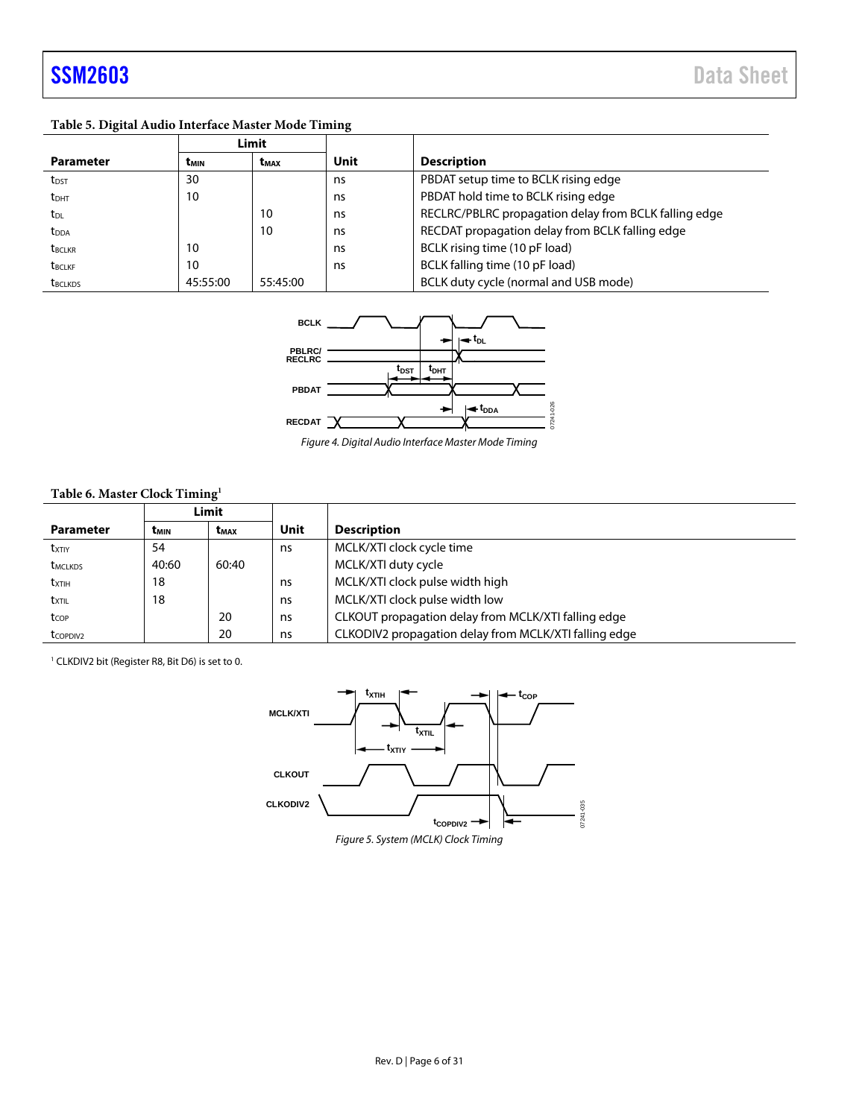### **Table 5. Digital Audio Interface Master Mode Timing**

|                         | Limit    |                         |      |                                                       |
|-------------------------|----------|-------------------------|------|-------------------------------------------------------|
| <b>Parameter</b>        | tмıн     | <b>t</b> <sub>MAX</sub> | Unit | <b>Description</b>                                    |
| t <sub>DST</sub>        | 30       |                         | ns   | PBDAT setup time to BCLK rising edge                  |
| <b>t</b> <sub>DHT</sub> | 10       |                         | ns   | PBDAT hold time to BCLK rising edge                   |
| t <sub>DL</sub>         |          | 10                      | ns   | RECLRC/PBLRC propagation delay from BCLK falling edge |
| <b>t</b> <sub>DDA</sub> |          | 10                      | ns   | RECDAT propagation delay from BCLK falling edge       |
| <b>t</b> BCLKR          | 10       |                         | ns   | BCLK rising time (10 pF load)                         |
| <b>t</b> BCLKF          | 10       |                         | ns   | BCLK falling time (10 pF load)                        |
| <b>t</b> BCLKDS         | 45:55:00 | 55:45:00                |      | BCLK duty cycle (normal and USB mode)                 |



Figure 4. Digital Audio Interface Master Mode Timing

### **Table 6. Master Clock Timing1**

|                      | Limit                                |       |      |                                                       |
|----------------------|--------------------------------------|-------|------|-------------------------------------------------------|
| <b>Parameter</b>     | t <sub>min</sub><br>t <sub>MAX</sub> |       | Unit | <b>Description</b>                                    |
| <b>txtiy</b>         | 54                                   |       | ns   | MCLK/XTI clock cycle time                             |
| <b>t</b> MCLKDS      | 40:60                                | 60:40 |      | MCLK/XTI duty cycle                                   |
| txtih                | 18                                   |       | ns   | MCLK/XTI clock pulse width high                       |
| txtil                | 18                                   |       | ns   | MCLK/XTI clock pulse width low                        |
| tcop                 |                                      | 20    | ns   | CLKOUT propagation delay from MCLK/XTI falling edge   |
| t <sub>COPDIV2</sub> |                                      | 20    | ns   | CLKODIV2 propagation delay from MCLK/XTI falling edge |

<sup>1</sup> CLKDIV2 bit (Register R8, Bit D6) is set to 0.

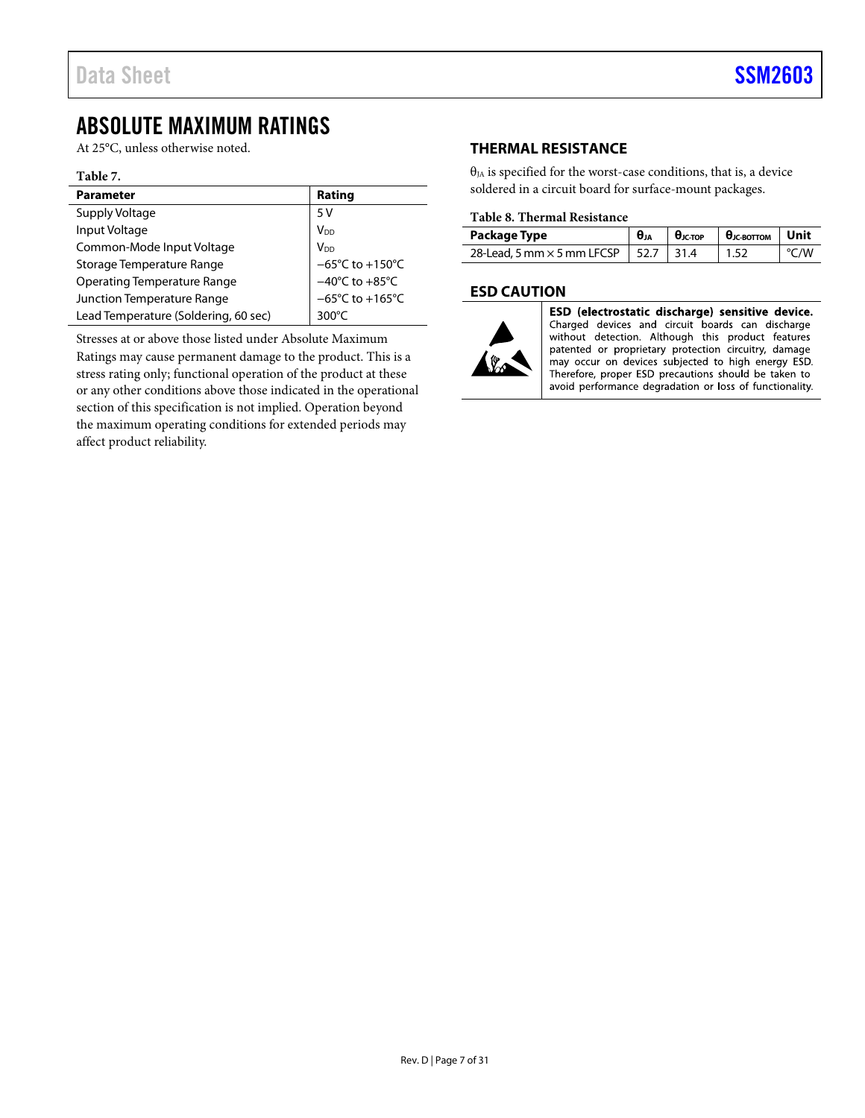### <span id="page-6-0"></span>ABSOLUTE MAXIMUM RATINGS

At 25°C, unless otherwise noted.

### **Table 7.**

| <b>Parameter</b>                     | Rating                               |
|--------------------------------------|--------------------------------------|
|                                      |                                      |
| Supply Voltage                       | 5 V                                  |
| Input Voltage                        | V <sub>DD</sub>                      |
| Common-Mode Input Voltage            | V <sub>DD</sub>                      |
| Storage Temperature Range            | $-65^{\circ}$ C to $+150^{\circ}$ C  |
| <b>Operating Temperature Range</b>   | $-40^{\circ}$ C to $+85^{\circ}$ C   |
| Junction Temperature Range           | $-65^{\circ}$ C to +165 $^{\circ}$ C |
| Lead Temperature (Soldering, 60 sec) | $300^{\circ}$ C                      |

Stresses at or above those listed under Absolute Maximum Ratings may cause permanent damage to the product. This is a stress rating only; functional operation of the product at these or any other conditions above those indicated in the operational section of this specification is not implied. Operation beyond the maximum operating conditions for extended periods may affect product reliability.

### <span id="page-6-1"></span>**THERMAL RESISTANCE**

 $\theta_{JA}$  is specified for the worst-case conditions, that is, a device soldered in a circuit board for surface-mount packages.

### **Table 8. Thermal Resistance**

| Package Type                           | $\theta_{JA}$ | $\theta_{\text{JC-TOP}}$ $\theta_{\text{JC-BOTTON}}$ Unit |           |
|----------------------------------------|---------------|-----------------------------------------------------------|-----------|
| 28-Lead, 5 mm × 5 mm LFCSP   52.7 31.4 |               | 1.52                                                      | $\sim$ /W |

### <span id="page-6-2"></span>**ESD CAUTION**



ESD (electrostatic discharge) sensitive device. Charged devices and circuit boards can discharge without detection. Although this product features patented or proprietary protection circuitry, damage may occur on devices subjected to high energy ESD. Therefore, proper ESD precautions should be taken to avoid performance degradation or loss of functionality.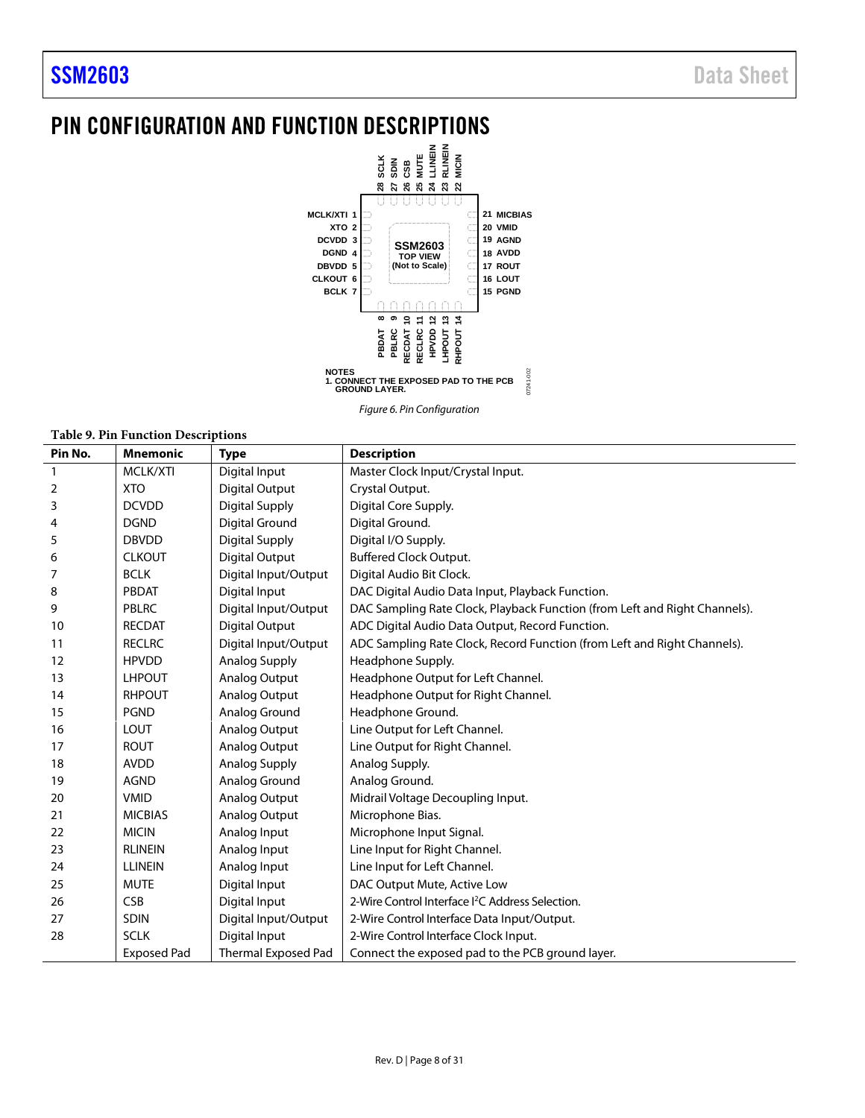### <span id="page-7-0"></span>PIN CONFIGURATION AND FUNCTION DESCRIPTIONS



*Figure 6. Pin Configuration*

#### **Table 9. Pin Function Descriptions**

| Pin No. | <b>Mnemonic</b>    | <b>Type</b>                | <b>Description</b>                                                         |
|---------|--------------------|----------------------------|----------------------------------------------------------------------------|
| 1       | MCLK/XTI           | Digital Input              | Master Clock Input/Crystal Input.                                          |
| 2       | <b>XTO</b>         | <b>Digital Output</b>      | Crystal Output.                                                            |
| 3       | <b>DCVDD</b>       | <b>Digital Supply</b>      | Digital Core Supply.                                                       |
| 4       | <b>DGND</b>        | <b>Digital Ground</b>      | Digital Ground.                                                            |
| 5       | <b>DBVDD</b>       | Digital Supply             | Digital I/O Supply.                                                        |
| 6       | <b>CLKOUT</b>      | <b>Digital Output</b>      | <b>Buffered Clock Output.</b>                                              |
| 7       | <b>BCLK</b>        | Digital Input/Output       | Digital Audio Bit Clock.                                                   |
| 8       | PBDAT              | Digital Input              | DAC Digital Audio Data Input, Playback Function.                           |
| 9       | PBLRC              | Digital Input/Output       | DAC Sampling Rate Clock, Playback Function (from Left and Right Channels). |
| 10      | <b>RECDAT</b>      | <b>Digital Output</b>      | ADC Digital Audio Data Output, Record Function.                            |
| 11      | <b>RECLRC</b>      | Digital Input/Output       | ADC Sampling Rate Clock, Record Function (from Left and Right Channels).   |
| 12      | <b>HPVDD</b>       | <b>Analog Supply</b>       | Headphone Supply.                                                          |
| 13      | <b>LHPOUT</b>      | Analog Output              | Headphone Output for Left Channel.                                         |
| 14      | <b>RHPOUT</b>      | Analog Output              | Headphone Output for Right Channel.                                        |
| 15      | <b>PGND</b>        | Analog Ground              | Headphone Ground.                                                          |
| 16      | <b>LOUT</b>        | Analog Output              | Line Output for Left Channel.                                              |
| 17      | <b>ROUT</b>        | <b>Analog Output</b>       | Line Output for Right Channel.                                             |
| 18      | <b>AVDD</b>        | Analog Supply              | Analog Supply.                                                             |
| 19      | <b>AGND</b>        | Analog Ground              | Analog Ground.                                                             |
| 20      | <b>VMID</b>        | Analog Output              | Midrail Voltage Decoupling Input.                                          |
| 21      | <b>MICBIAS</b>     | Analog Output              | Microphone Bias.                                                           |
| 22      | <b>MICIN</b>       | Analog Input               | Microphone Input Signal.                                                   |
| 23      | <b>RLINEIN</b>     | Analog Input               | Line Input for Right Channel.                                              |
| 24      | <b>LLINEIN</b>     | Analog Input               | Line Input for Left Channel.                                               |
| 25      | <b>MUTE</b>        | Digital Input              | DAC Output Mute, Active Low                                                |
| 26      | <b>CSB</b>         | Digital Input              | 2-Wire Control Interface <sup>2</sup> C Address Selection.                 |
| 27      | <b>SDIN</b>        | Digital Input/Output       | 2-Wire Control Interface Data Input/Output.                                |
| 28      | <b>SCLK</b>        | Digital Input              | 2-Wire Control Interface Clock Input.                                      |
|         | <b>Exposed Pad</b> | <b>Thermal Exposed Pad</b> | Connect the exposed pad to the PCB ground layer.                           |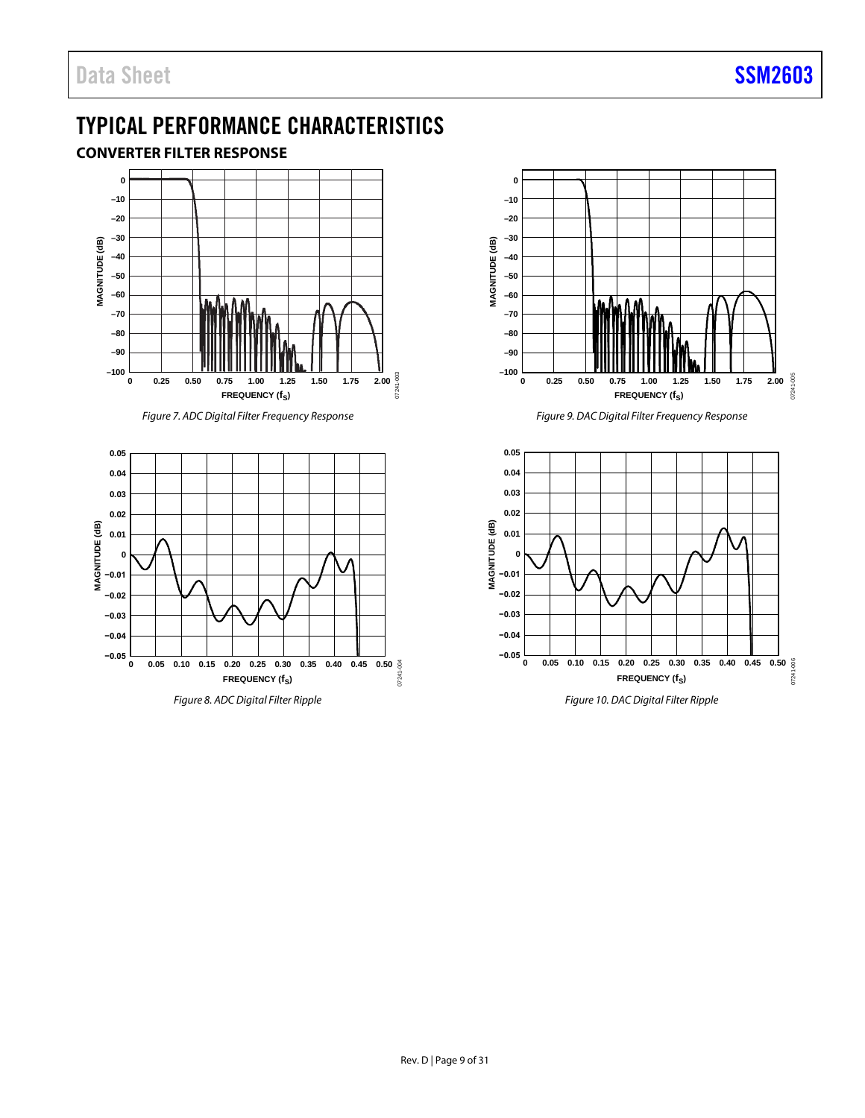## <span id="page-8-0"></span>TYPICAL PERFORMANCE CHARACTERISTICS

### <span id="page-8-1"></span>**CONVERTER FILTER RESPONSE**



*Figure 7. ADC Digital Filter Frequency Response*



*Figure 8. ADC Digital Filter Ripple*



*Figure 9. DAC Digital Filter Frequency Response*



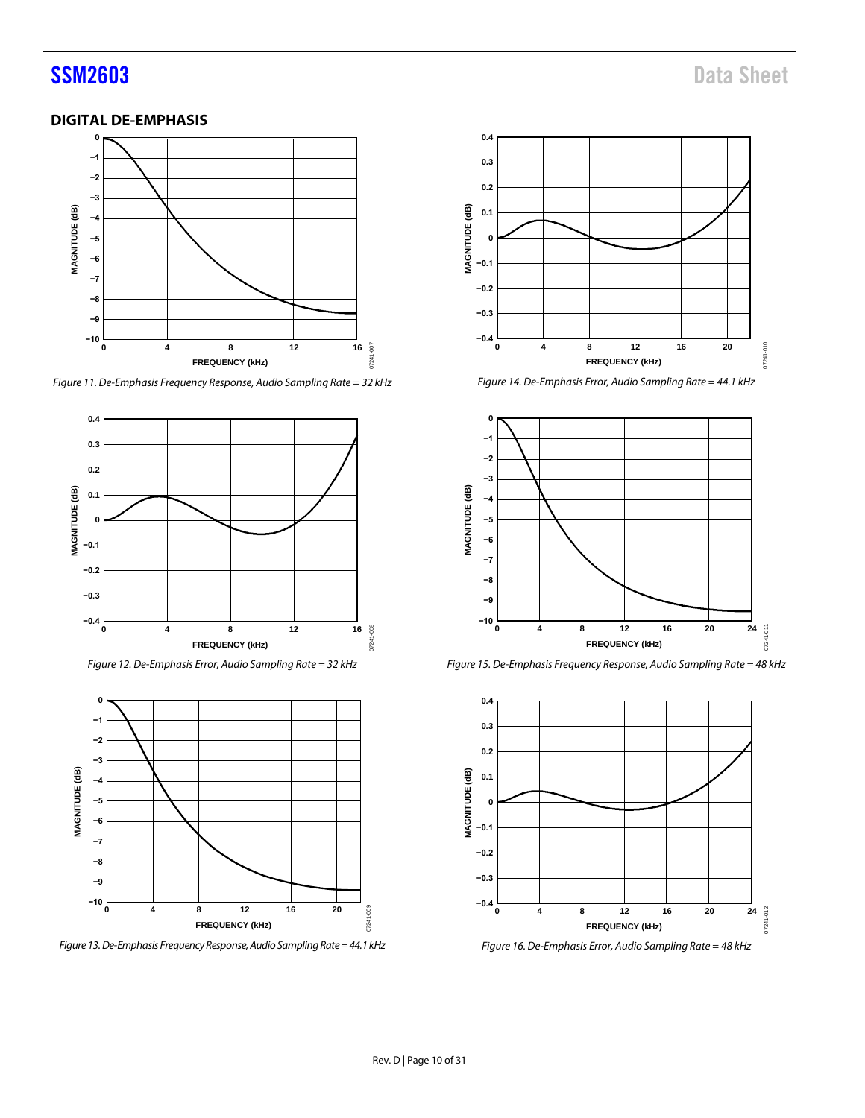### <span id="page-9-0"></span>**DIGITAL DE-EMPHASIS**



*Figure 11. De-Emphasis Frequency Response, Audio Sampling Rate = 32 kHz*



*Figure 12. De-Emphasis Error, Audio Sampling Rate = 32 kHz*



*Figure 13. De-Emphasis Frequency Response, Audio Sampling Rate = 44.1 kHz*



*Figure 14. De-Emphasis Error, Audio Sampling Rate = 44.1 kHz*



*Figure 15. De-Emphasis Frequency Response, Audio Sampling Rate = 48 kHz*



*Figure 16. De-Emphasis Error, Audio Sampling Rate = 48 kHz*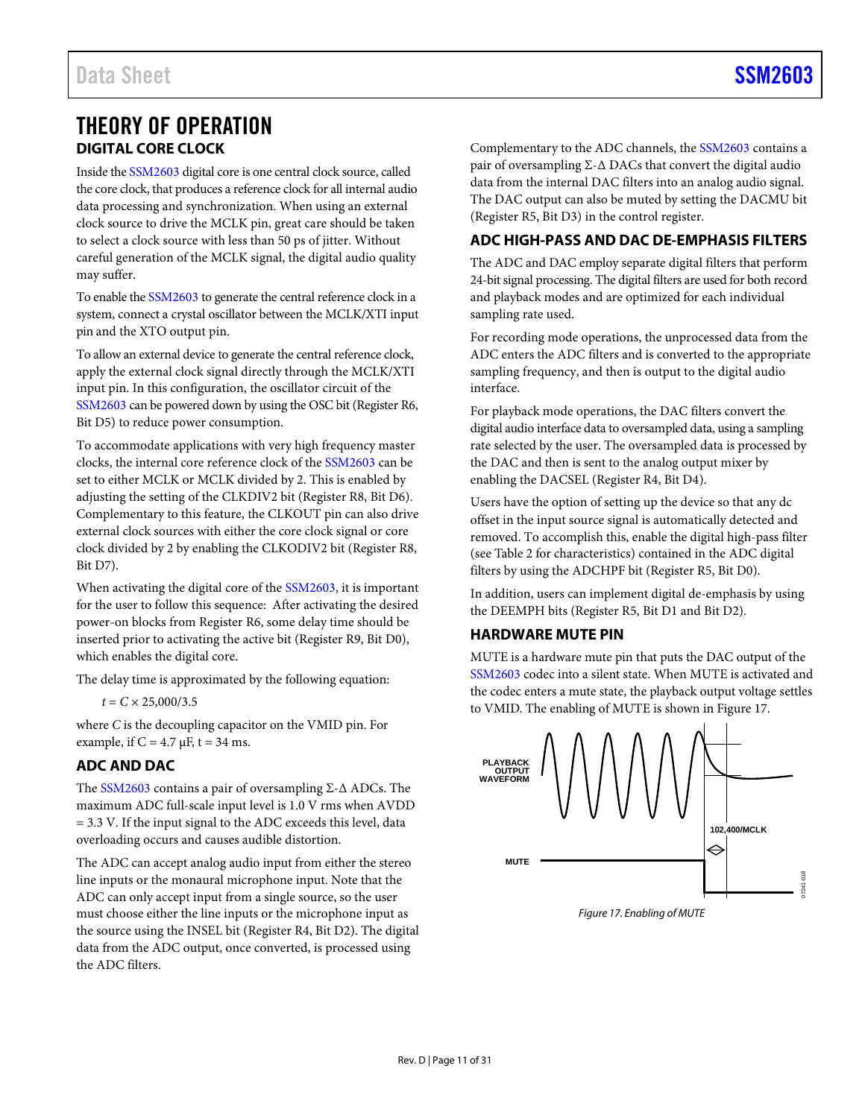### <span id="page-10-0"></span>THEORY OF OPERATION **DIGITAL CORE CLOCK**

<span id="page-10-1"></span>Inside th[e SSM2603](http://www.analog.com/SSM2603?doc=SSM2603.pdf) digital core is one central clock source, called the core clock, that produces a reference clock for all internal audio data processing and synchronization. When using an external clock source to drive the MCLK pin, great care should be taken to select a clock source with less than 50 ps of jitter. Without careful generation of the MCLK signal, the digital audio quality may suffer.

To enable th[e SSM2603](http://www.analog.com/SSM2603?doc=SSM2603.pdf) to generate the central reference clock in a system, connect a crystal oscillator between the MCLK/XTI input pin and the XTO output pin.

To allow an external device to generate the central reference clock, apply the external clock signal directly through the MCLK/XTI input pin. In this configuration, the oscillator circuit of the [SSM2603](http://www.analog.com/SSM2603?doc=SSM2603.pdf) can be powered down by using the OSC bit (Register R6, Bit D5) to reduce power consumption.

To accommodate applications with very high frequency master clocks, the internal core reference clock of the [SSM2603](http://www.analog.com/SSM2603?doc=SSM2603.pdf) can be set to either MCLK or MCLK divided by 2. This is enabled by adjusting the setting of the CLKDIV2 bit (Register R8, Bit D6). Complementary to this feature, the CLKOUT pin can also drive external clock sources with either the core clock signal or core clock divided by 2 by enabling the CLKODIV2 bit (Register R8, Bit D7).

When activating the digital core of the [SSM2603,](http://www.analog.com/SSM2603?doc=SSM2603.pdf) it is important for the user to follow this sequence: After activating the desired power-on blocks from Register R6, some delay time should be inserted prior to activating the active bit (Register R9, Bit D0), which enables the digital core.

The delay time is approximated by the following equation:

 $t = C \times 25,000/3.5$ 

where *C* is the decoupling capacitor on the VMID pin. For example, if  $C = 4.7 \mu$ F, t = 34 ms.

### <span id="page-10-2"></span>**ADC AND DAC**

The [SSM2603](http://www.analog.com/SSM2603?doc=SSM2603.pdf) contains a pair of oversampling Σ-∆ ADCs. The maximum ADC full-scale input level is 1.0 V rms when AVDD = 3.3 V. If the input signal to the ADC exceeds this level, data overloading occurs and causes audible distortion.

The ADC can accept analog audio input from either the stereo line inputs or the monaural microphone input. Note that the ADC can only accept input from a single source, so the user must choose either the line inputs or the microphone input as the source using the INSEL bit (Register R4, Bit D2). The digital data from the ADC output, once converted, is processed using the ADC filters.

Complementary to the ADC channels, th[e SSM2603](http://www.analog.com/SSM2603?doc=SSM2603.pdf) contains a pair of oversampling Σ-∆ DACs that convert the digital audio data from the internal DAC filters into an analog audio signal. The DAC output can also be muted by setting the DACMU bit (Register R5, Bit D3) in the control register.

### <span id="page-10-3"></span>**ADC HIGH-PASS AND DAC DE-EMPHASIS FILTERS**

The ADC and DAC employ separate digital filters that perform 24-bit signal processing. The digital filters are used for both record and playback modes and are optimized for each individual sampling rate used.

For recording mode operations, the unprocessed data from the ADC enters the ADC filters and is converted to the appropriate sampling frequency, and then is output to the digital audio interface.

For playback mode operations, the DAC filters convert the digital audio interface data to oversampled data, using a sampling rate selected by the user. The oversampled data is processed by the DAC and then is sent to the analog output mixer by enabling the DACSEL (Register R4, Bit D4).

Users have the option of setting up the device so that any dc offset in the input source signal is automatically detected and removed. To accomplish this, enable the digital high-pass filter (see [Table 2](#page-3-2) for characteristics) contained in the ADC digital filters by using the ADCHPF bit (Register R5, Bit D0).

In addition, users can implement digital de-emphasis by using the DEEMPH bits (Register R5, Bit D1 and Bit D2).

### <span id="page-10-4"></span>**HARDWARE MUTE PIN**

MUTE is a hardware mute pin that puts the DAC output of the [SSM2603](http://www.analog.com/SSM2603?doc=SSM2603.pdf) codec into a silent state. When MUTE is activated and the codec enters a mute state, the playback output voltage settles to VMID. The enabling of MUTE is shown i[n Figure 17.](#page-10-5)



<span id="page-10-5"></span>*Figure 17. Enabling of MUTE*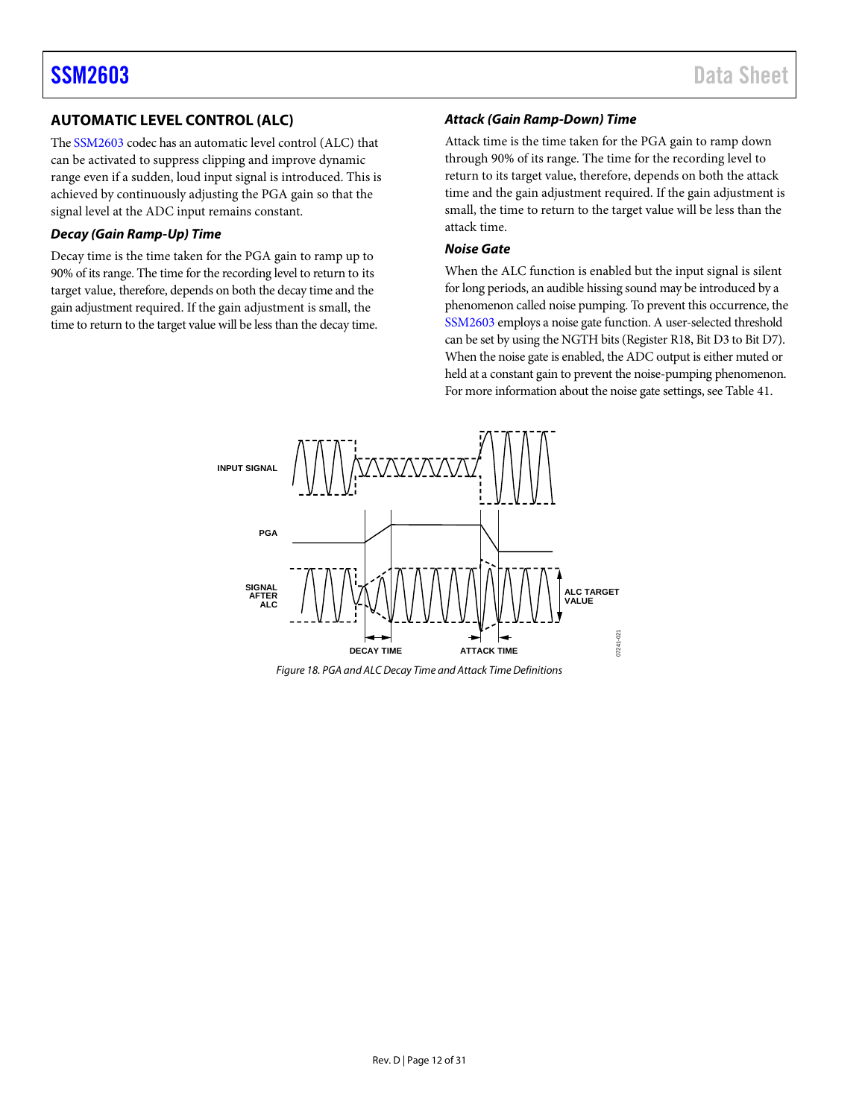### <span id="page-11-0"></span>**AUTOMATIC LEVEL CONTROL (ALC)**

Th[e SSM2603](http://www.analog.com/SSM2603?doc=SSM2603.pdf) codec has an automatic level control (ALC) that can be activated to suppress clipping and improve dynamic range even if a sudden, loud input signal is introduced. This is achieved by continuously adjusting the PGA gain so that the signal level at the ADC input remains constant.

### *Decay (Gain Ramp-Up) Time*

Decay time is the time taken for the PGA gain to ramp up to 90% of its range. The time for the recording level to return to its target value, therefore, depends on both the decay time and the gain adjustment required. If the gain adjustment is small, the time to return to the target value will be less than the decay time.

### *Attack (Gain Ramp-Down) Time*

Attack time is the time taken for the PGA gain to ramp down through 90% of its range. The time for the recording level to return to its target value, therefore, depends on both the attack time and the gain adjustment required. If the gain adjustment is small, the time to return to the target value will be less than the attack time.

#### *Noise Gate*

When the ALC function is enabled but the input signal is silent for long periods, an audible hissing sound may be introduced by a phenomenon called noise pumping. To prevent this occurrence, the [SSM2603](http://www.analog.com/SSM2603?doc=SSM2603.pdf) employs a noise gate function. A user-selected threshold can be set by using the NGTH bits (Register R18, Bit D3 to Bit D7). When the noise gate is enabled, the ADC output is either muted or held at a constant gain to prevent the noise-pumping phenomenon. For more information about the noise gate settings, see [Table 41.](#page-28-1)



*Figure 18. PGA and ALC Decay Time and Attack Time Definitions*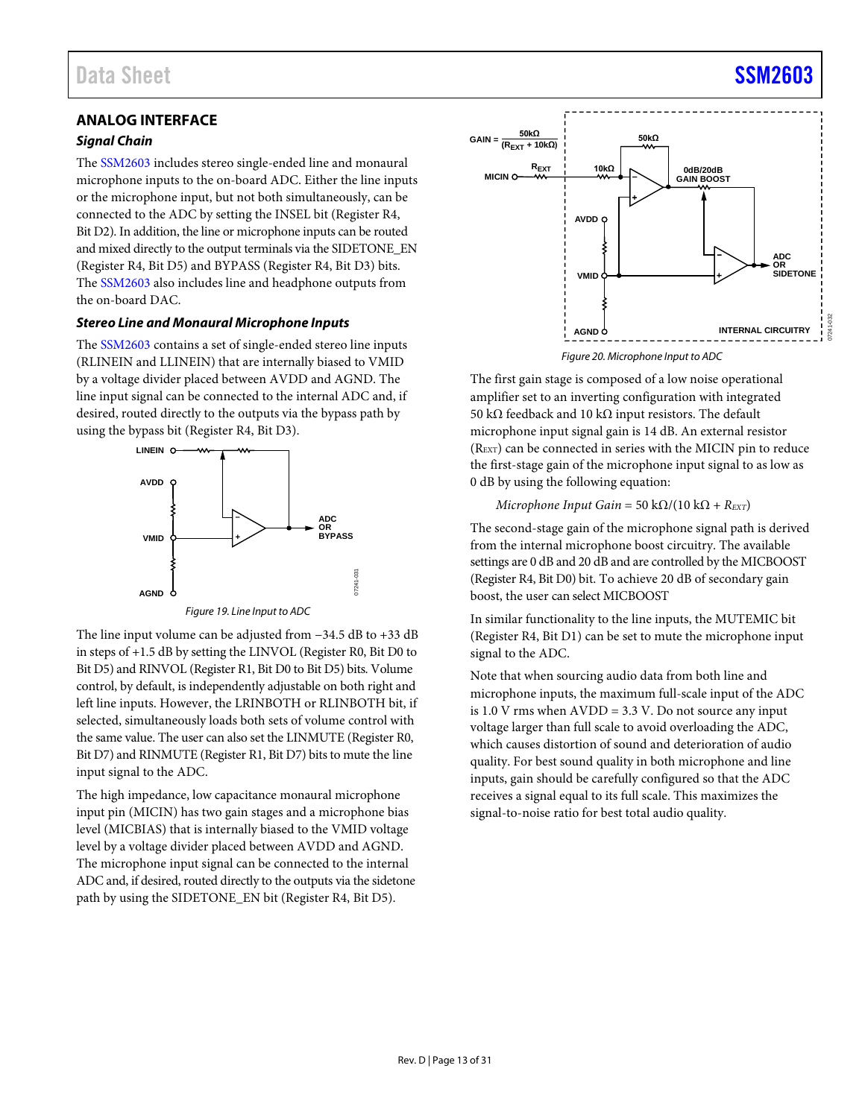### <span id="page-12-0"></span>**ANALOG INTERFACE**

### *Signal Chain*

The [SSM2603](http://www.analog.com/SSM2603?doc=SSM2603.pdf) includes stereo single-ended line and monaural microphone inputs to the on-board ADC. Either the line inputs or the microphone input, but not both simultaneously, can be connected to the ADC by setting the INSEL bit (Register R4, Bit D2). In addition, the line or microphone inputs can be routed and mixed directly to the output terminals via the SIDETONE\_EN (Register R4, Bit D5) and BYPASS (Register R4, Bit D3) bits. The [SSM2603](http://www.analog.com/SSM2603?doc=SSM2603.pdf) also includes line and headphone outputs from the on-board DAC.

### *Stereo Line and Monaural Microphone Inputs*

The [SSM2603](http://www.analog.com/SSM2603?doc=SSM2603.pdf) contains a set of single-ended stereo line inputs (RLINEIN and LLINEIN) that are internally biased to VMID by a voltage divider placed between AVDD and AGND. The line input signal can be connected to the internal ADC and, if desired, routed directly to the outputs via the bypass path by using the bypass bit (Register R4, Bit D3).



*Figure 19. Line Input to ADC*

07241-031

The line input volume can be adjusted from −34.5 dB to +33 dB in steps of +1.5 dB by setting the LINVOL (Register R0, Bit D0 to Bit D5) and RINVOL (Register R1, Bit D0 to Bit D5) bits. Volume control, by default, is independently adjustable on both right and left line inputs. However, the LRINBOTH or RLINBOTH bit, if selected, simultaneously loads both sets of volume control with the same value. The user can also set the LINMUTE (Register R0, Bit D7) and RINMUTE (Register R1, Bit D7) bits to mute the line input signal to the ADC.

The high impedance, low capacitance monaural microphone input pin (MICIN) has two gain stages and a microphone bias level (MICBIAS) that is internally biased to the VMID voltage level by a voltage divider placed between AVDD and AGND. The microphone input signal can be connected to the internal ADC and, if desired, routed directly to the outputs via the sidetone path by using the SIDETONE\_EN bit (Register R4, Bit D5).



*Figure 20. Microphone Input to ADC* 

The first gain stage is composed of a low noise operational amplifier set to an inverting configuration with integrated 50 kΩ feedback and 10 kΩ input resistors. The default microphone input signal gain is 14 dB. An external resistor (REXT) can be connected in series with the MICIN pin to reduce the first-stage gain of the microphone input signal to as low as 0 dB by using the following equation:

### *Microphone Input Gain* = 50 k $\Omega/(10 \text{ k}\Omega + R_{\text{EXT}})$

The second-stage gain of the microphone signal path is derived from the internal microphone boost circuitry. The available settings are 0 dB and 20 dB and are controlled by the MICBOOST (Register R4, Bit D0) bit. To achieve 20 dB of secondary gain boost, the user can select MICBOOST

In similar functionality to the line inputs, the MUTEMIC bit (Register R4, Bit D1) can be set to mute the microphone input signal to the ADC.

Note that when sourcing audio data from both line and microphone inputs, the maximum full-scale input of the ADC is  $1.0$  V rms when  $AVDD = 3.3$  V. Do not source any input voltage larger than full scale to avoid overloading the ADC, which causes distortion of sound and deterioration of audio quality. For best sound quality in both microphone and line inputs, gain should be carefully configured so that the ADC receives a signal equal to its full scale. This maximizes the signal-to-noise ratio for best total audio quality.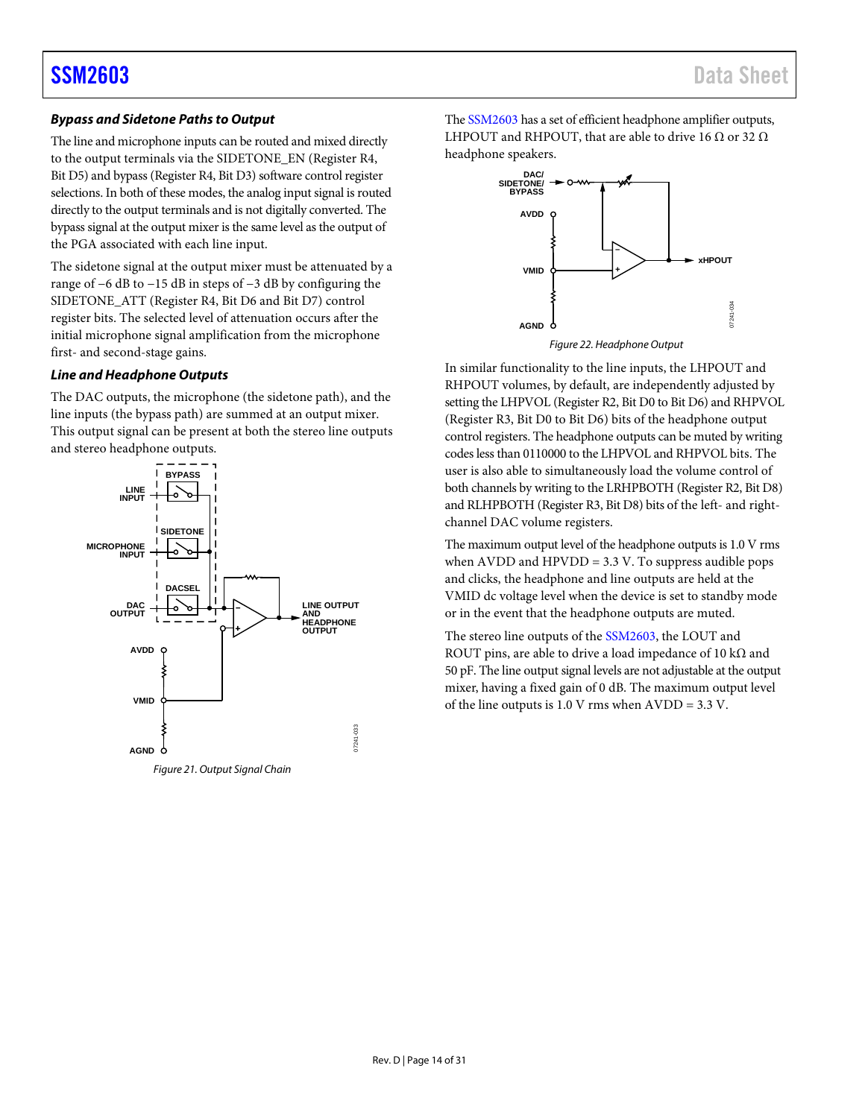### *Bypass and Sidetone Paths to Output*

The line and microphone inputs can be routed and mixed directly to the output terminals via the SIDETONE\_EN (Register R4, Bit D5) and bypass (Register R4, Bit D3) software control register selections. In both of these modes, the analog input signal is routed directly to the output terminals and is not digitally converted. The bypass signal at the output mixer is the same level as the output of the PGA associated with each line input.

The sidetone signal at the output mixer must be attenuated by a range of −6 dB to −15 dB in steps of −3 dB by configuring the SIDETONE\_ATT (Register R4, Bit D6 and Bit D7) control register bits. The selected level of attenuation occurs after the initial microphone signal amplification from the microphone first- and second-stage gains.

### *Line and Headphone Outputs*

The DAC outputs, the microphone (the sidetone path), and the line inputs (the bypass path) are summed at an output mixer. This output signal can be present at both the stereo line outputs and stereo headphone outputs.



Th[e SSM2603](http://www.analog.com/SSM2603?doc=SSM2603.pdf) has a set of efficient headphone amplifier outputs, LHPOUT and RHPOUT, that are able to drive 16  $\Omega$  or 32  $\Omega$ headphone speakers.



*Figure 22. Headphone Output*

In similar functionality to the line inputs, the LHPOUT and RHPOUT volumes, by default, are independently adjusted by setting the LHPVOL (Register R2, Bit D0 to Bit D6) and RHPVOL (Register R3, Bit D0 to Bit D6) bits of the headphone output control registers. The headphone outputs can be muted by writing codes less than 0110000 to the LHPVOL and RHPVOL bits. The user is also able to simultaneously load the volume control of both channels by writing to the LRHPBOTH (Register R2, Bit D8) and RLHPBOTH (Register R3, Bit D8) bits of the left- and rightchannel DAC volume registers.

The maximum output level of the headphone outputs is 1.0 V rms when  $AVDD$  and  $HPVDD = 3.3$  V. To suppress audible pops and clicks, the headphone and line outputs are held at the VMID dc voltage level when the device is set to standby mode or in the event that the headphone outputs are muted.

The stereo line outputs of the [SSM2603,](http://www.analog.com/SSM2603?doc=SSM2603.pdf) the LOUT and ROUT pins, are able to drive a load impedance of 10 k $\Omega$  and 50 pF. The line output signal levels are not adjustable at the output mixer, having a fixed gain of 0 dB. The maximum output level of the line outputs is 1.0 V rms when AVDD = 3.3 V.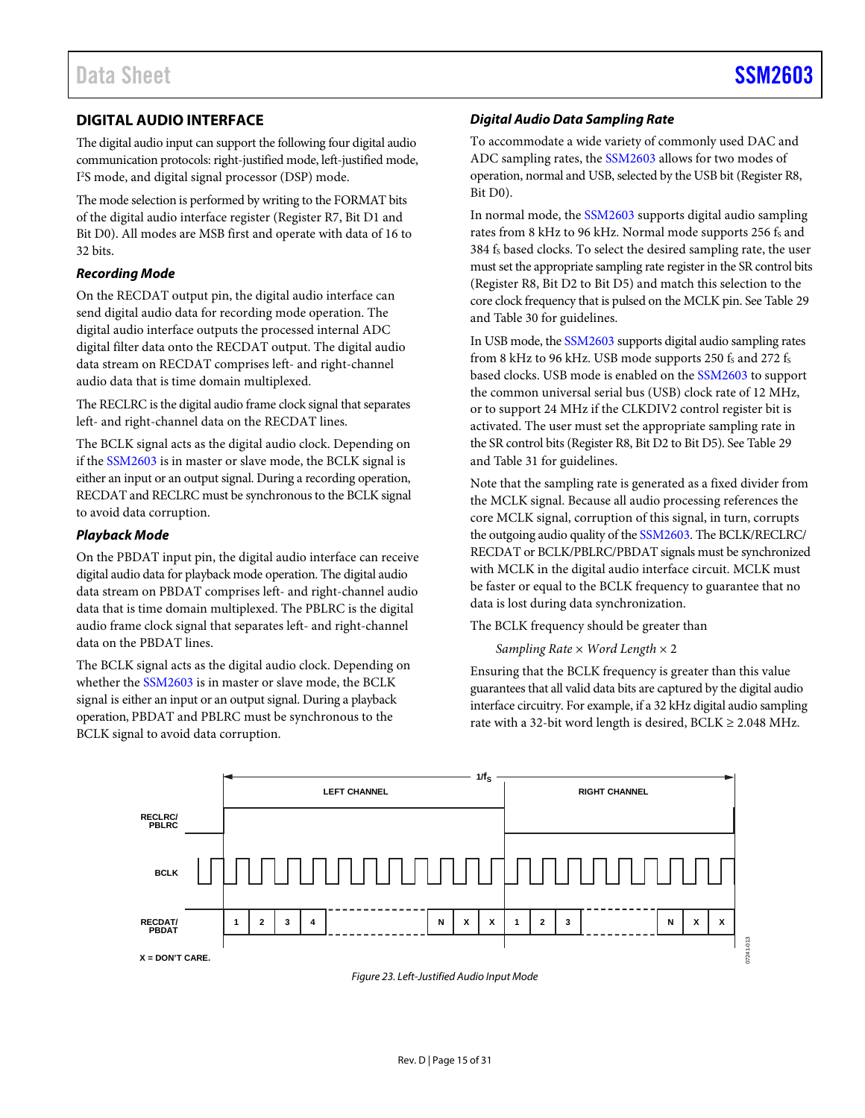### <span id="page-14-0"></span>**DIGITAL AUDIO INTERFACE**

The digital audio input can support the following four digital audio communication protocols: right-justified mode, left-justified mode, I 2 S mode, and digital signal processor (DSP) mode.

The mode selection is performed by writing to the FORMAT bits of the digital audio interface register (Register R7, Bit D1 and Bit D0). All modes are MSB first and operate with data of 16 to 32 bits.

### *Recording Mode*

On the RECDAT output pin, the digital audio interface can send digital audio data for recording mode operation. The digital audio interface outputs the processed internal ADC digital filter data onto the RECDAT output. The digital audio data stream on RECDAT comprises left- and right-channel audio data that is time domain multiplexed.

The RECLRC is the digital audio frame clock signal that separates left- and right-channel data on the RECDAT lines.

The BCLK signal acts as the digital audio clock. Depending on if th[e SSM2603](http://www.analog.com/SSM2603?doc=SSM2603.pdf) is in master or slave mode, the BCLK signal is either an input or an output signal. During a recording operation, RECDAT and RECLRC must be synchronous to the BCLK signal to avoid data corruption.

### *Playback Mode*

On the PBDAT input pin, the digital audio interface can receive digital audio data for playback mode operation. The digital audio data stream on PBDAT comprises left- and right-channel audio data that is time domain multiplexed. The PBLRC is the digital audio frame clock signal that separates left- and right-channel data on the PBDAT lines.

The BCLK signal acts as the digital audio clock. Depending on whether th[e SSM2603](http://www.analog.com/SSM2603?doc=SSM2603.pdf) is in master or slave mode, the BCLK signal is either an input or an output signal. During a playback operation, PBDAT and PBLRC must be synchronous to the BCLK signal to avoid data corruption.

### *Digital Audio Data Sampling Rate*

To accommodate a wide variety of commonly used DAC and ADC sampling rates, the [SSM2603](http://www.analog.com/SSM2603?doc=SSM2603.pdf) allows for two modes of operation, normal and USB, selected by the USB bit (Register R8, Bit D0).

In normal mode, the [SSM2603](http://www.analog.com/SSM2603?doc=SSM2603.pdf) supports digital audio sampling rates from 8 kHz to 96 kHz. Normal mode supports 256 fs and 384 fs based clocks. To select the desired sampling rate, the user must set the appropriate sampling rate register in the SR control bits (Register R8, Bit D2 to Bit D5) and match this selection to the core clock frequency that is pulsed on the MCLK pin. Se[e Table 29](#page-23-2) an[d Table 30](#page-24-0) for guidelines.

In USB mode, th[e SSM2603](http://www.analog.com/SSM2603?doc=SSM2603.pdf) supports digital audio sampling rates from 8 kHz to 96 kHz. USB mode supports 250  $f_s$  and 272  $f_s$ based clocks. USB mode is enabled on the [SSM2603](http://www.analog.com/SSM2603?doc=SSM2603.pdf) to support the common universal serial bus (USB) clock rate of 12 MHz, or to support 24 MHz if the CLKDIV2 control register bit is activated. The user must set the appropriate sampling rate in the SR control bits (Register R8, Bit D2 to Bit D5). Se[e Table 29](#page-23-2) an[d Table 31](#page-25-0) for guidelines.

Note that the sampling rate is generated as a fixed divider from the MCLK signal. Because all audio processing references the core MCLK signal, corruption of this signal, in turn, corrupts the outgoing audio quality of th[e SSM2603.](http://www.analog.com/SSM2603?doc=SSM2603.pdf) The BCLK/RECLRC/ RECDAT or BCLK/PBLRC/PBDAT signals must be synchronized with MCLK in the digital audio interface circuit. MCLK must be faster or equal to the BCLK frequency to guarantee that no data is lost during data synchronization.

The BCLK frequency should be greater than

*Sampling Rate* × *Word Length* × 2

Ensuring that the BCLK frequency is greater than this value guarantees that all valid data bits are captured by the digital audio interface circuitry. For example, if a 32 kHz digital audio sampling rate with a 32-bit word length is desired,  $BCLK \ge 2.048 \text{ MHz.}$ 



*Figure 23. Left-Justified Audio Input Mode*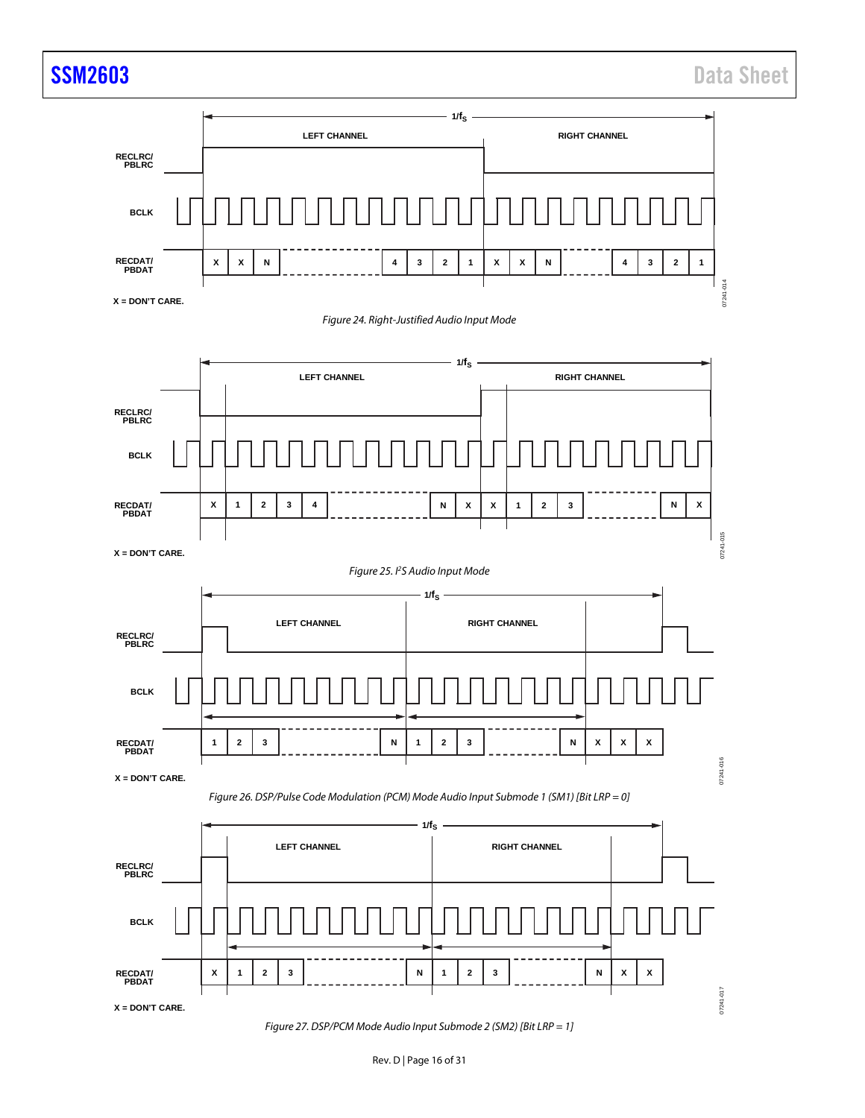

*Figure 27. DSP/PCM Mode Audio Input Submode 2 (SM2) [Bit LRP = 1]*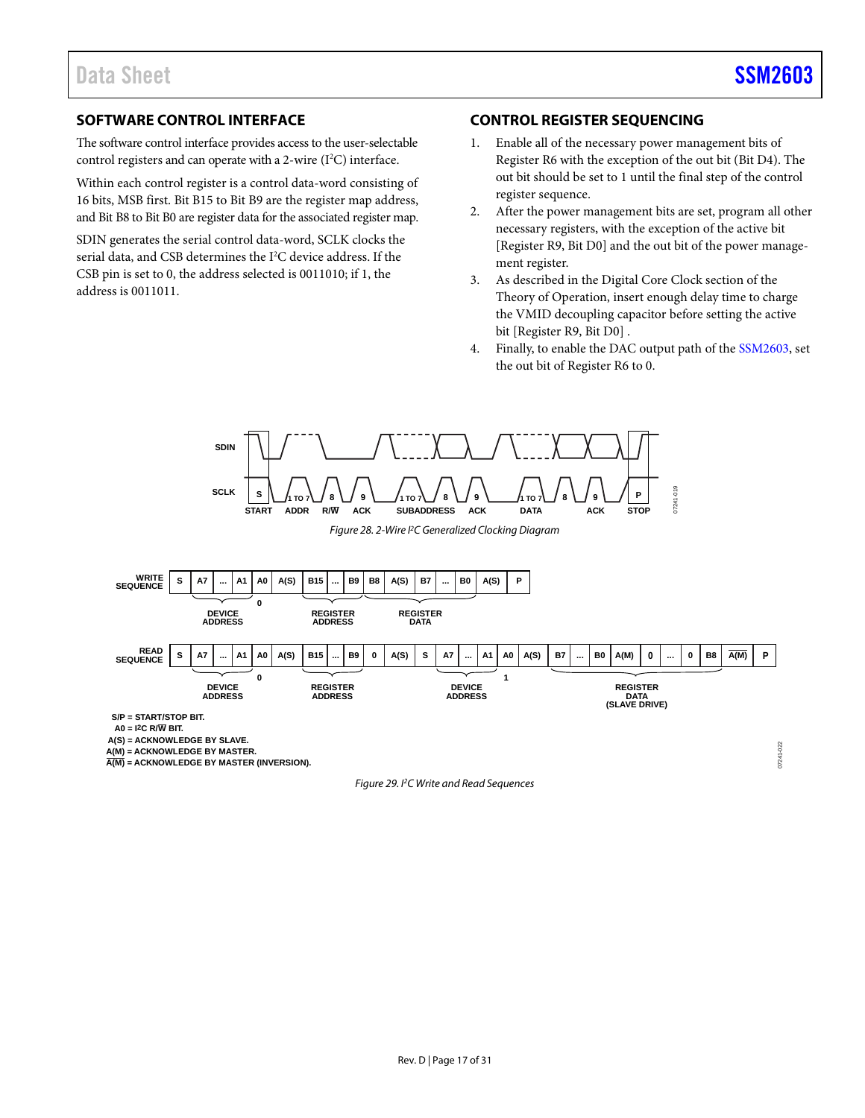### <span id="page-16-0"></span>**SOFTWARE CONTROL INTERFACE**

The software control interface provides access to the user-selectable control registers and can operate with a 2-wire  $(I<sup>2</sup>C)$  interface.

Within each control register is a control data-word consisting of 16 bits, MSB first. Bit B15 to Bit B9 are the register map address, and Bit B8 to Bit B0 are register data for the associated register map.

SDIN generates the serial control data-word, SCLK clocks the serial data, and CSB determines the I<sup>2</sup>C device address. If the CSB pin is set to 0, the address selected is 0011010; if 1, the address is 0011011.

### <span id="page-16-1"></span>**CONTROL REGISTER SEQUENCING**

- 1. Enable all of the necessary power management bits of Register R6 with the exception of the out bit (Bit D4). The out bit should be set to 1 until the final step of the control register sequence.
- 2. After the power management bits are set, program all other necessary registers, with the exception of the active bit [Register R9, Bit D0] and the out bit of the power management register.
- 3. As described in the [Digital Core Clock](#page-10-1) section of the [Theory of Operation,](#page-10-0) insert enough delay time to charge the VMID decoupling capacitor before setting the active bit [Register R9, Bit D0] .
- 4. Finally, to enable the DAC output path of the [SSM2603,](http://www.analog.com/SSM2603?doc=SSM2603.pdf) set the out bit of Register R6 to 0.

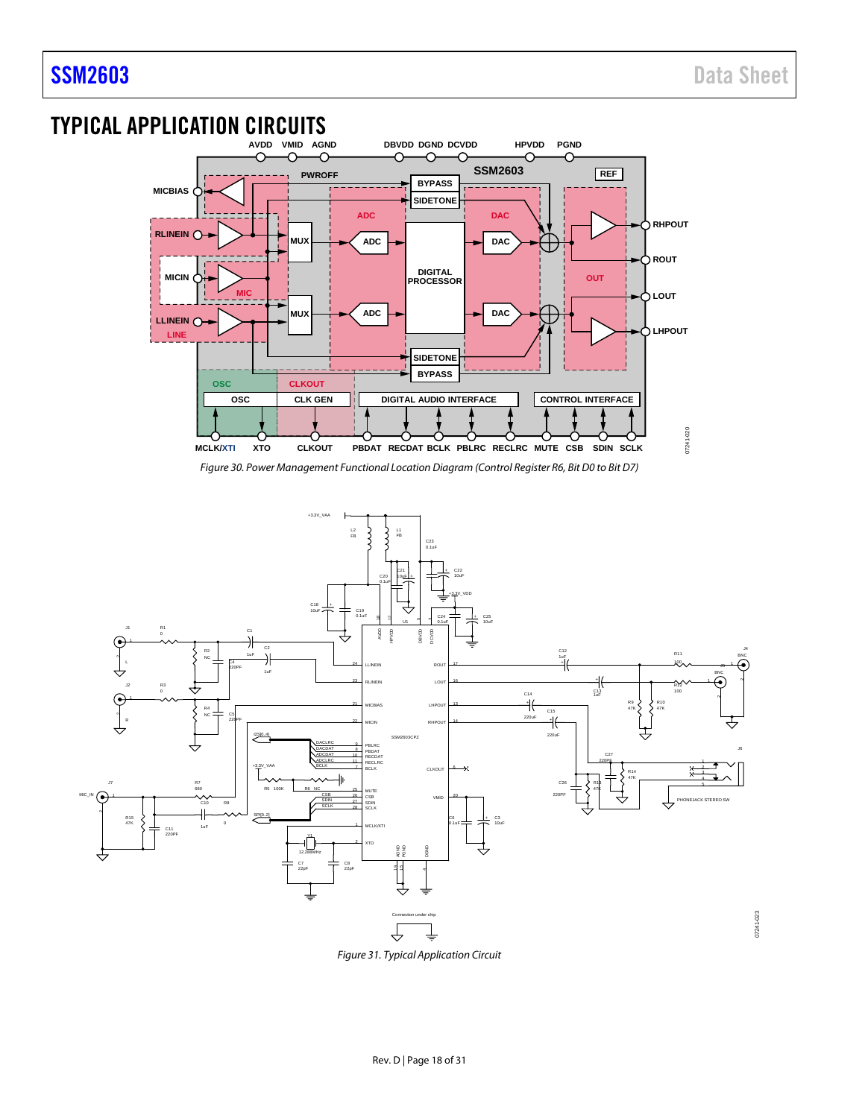07241-023

# <span id="page-17-0"></span>TYPICAL APPLICATION CIRCUITS



*Figure 30. Power Management Functional Location Diagram (Control Register R6, Bit D0 to Bit D7)*



*Figure 31. Typical Application Circuit*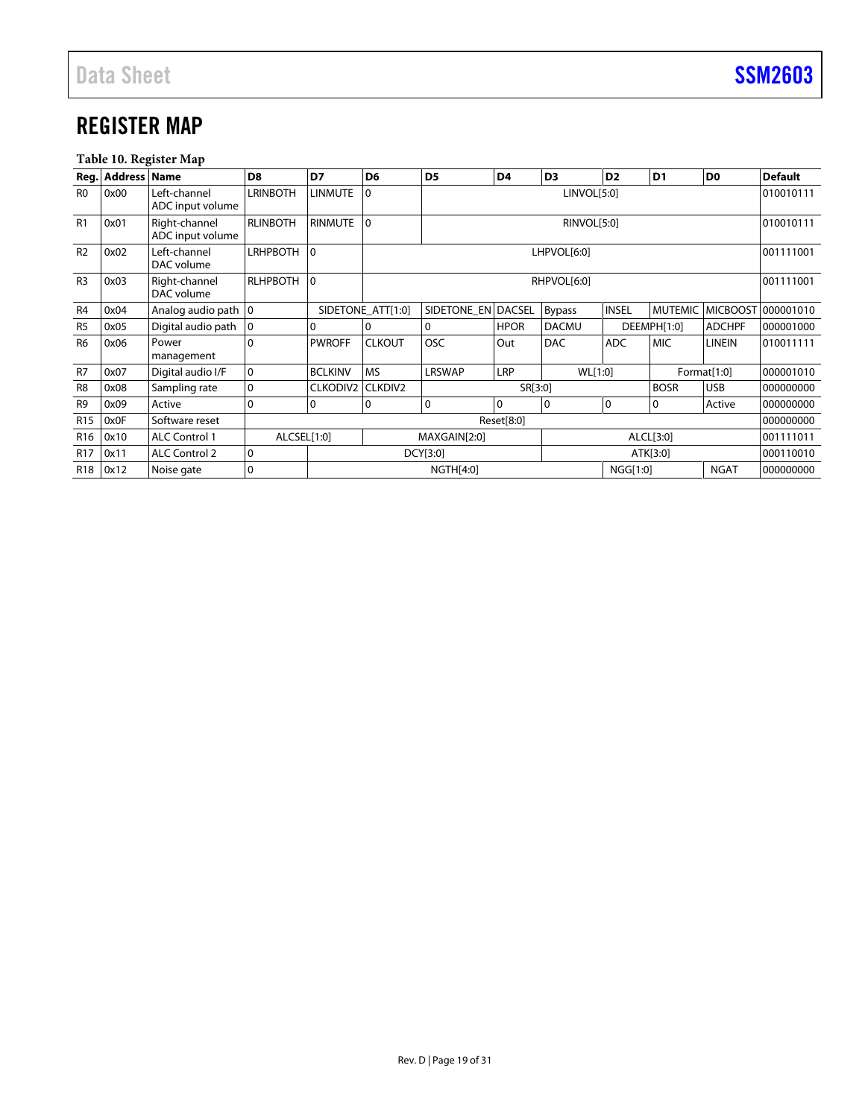## <span id="page-18-0"></span>REGISTER MAP

### **Table 10. Register Map**

|                 | Reg. Address Name |                                   | D <sub>8</sub>  | D7              | D <sub>6</sub>    | D <sub>5</sub>           | D <sub>4</sub> | D <sub>3</sub> | D <sub>2</sub> | D <sub>1</sub> | D <sub>0</sub>  | <b>Default</b> |
|-----------------|-------------------|-----------------------------------|-----------------|-----------------|-------------------|--------------------------|----------------|----------------|----------------|----------------|-----------------|----------------|
| R <sub>0</sub>  | 0x00              | Left-channel<br>ADC input volume  | <b>LRINBOTH</b> | <b>LINMUTE</b>  | $\Omega$          | LINVOL[5:0]              |                |                |                |                |                 | 010010111      |
| R1              | 0x01              | Right-channel<br>ADC input volume | <b>RLINBOTH</b> | <b>RINMUTE</b>  | $\Omega$          | 010010111<br>RINVOL[5:0] |                |                |                |                |                 |                |
| R <sub>2</sub>  | 0x02              | Left-channel<br>DAC volume        | <b>LRHPBOTH</b> | $\overline{0}$  |                   | LHPVOL[6:0]<br>001111001 |                |                |                |                |                 |                |
| R <sub>3</sub>  | 0x03              | Right-channel<br>DAC volume       | <b>RLHPBOTH</b> | $\overline{0}$  |                   | RHPVOL[6:0]              |                |                |                |                |                 | 001111001      |
| R <sub>4</sub>  | 0x04              | Analog audio path 0               |                 |                 | SIDETONE ATT[1:0] | SIDETONE EN DACSEL       |                | <b>Bypass</b>  | <b>INSEL</b>   | <b>MUTEMIC</b> | <b>MICBOOST</b> | 000001010      |
| R <sub>5</sub>  | 0x05              | Digital audio path                | $\mathbf 0$     |                 | $\mathbf{0}$      | $\Omega$                 | <b>HPOR</b>    | <b>DACMU</b>   |                | DEEMPH[1:0]    | <b>ADCHPF</b>   | 000001000      |
| R <sub>6</sub>  | 0x06              | Power<br>management               | 0               | <b>PWROFF</b>   | <b>CLKOUT</b>     | OSC                      | Out            | <b>DAC</b>     | <b>ADC</b>     | <b>MIC</b>     | <b>LINEIN</b>   | 010011111      |
| R <sub>7</sub>  | 0x07              | Digital audio I/F                 | 0               | <b>BCLKINV</b>  | <b>MS</b>         | <b>LRSWAP</b>            | <b>LRP</b>     | WL[1:0]        |                |                | Format[1:0]     | 000001010      |
| R <sub>8</sub>  | 0x08              | Sampling rate                     | 0               | <b>CLKODIV2</b> | <b>CLKDIV2</b>    |                          | SR[3:0]        |                |                | <b>BOSR</b>    | <b>USB</b>      | 000000000      |
| R <sub>9</sub>  | 0x09              | Active                            | 0               | 0               | 0                 | $\overline{0}$           | 0              | $\Omega$       | $\mathbf 0$    | 0              | Active          | 000000000      |
| R <sub>15</sub> | 0x0F              | Software reset                    |                 |                 |                   |                          | Reset[8:0]     |                |                |                |                 | 000000000      |
| R <sub>16</sub> | 0x10              | <b>ALC Control 1</b>              | ALCSEL[1:0]     |                 |                   | MAXGAIN[2:0]             |                |                |                | ALCL[3:0]      |                 | 001111011      |
| <b>R17</b>      | 0x11              | <b>ALC Control 2</b>              | 0               |                 |                   | DCY[3:0]                 |                |                |                | ATK[3:0]       |                 | 000110010      |
| R <sub>18</sub> | 0x12              | Noise gate                        | 0               |                 |                   | <b>NGTH[4:0]</b>         |                |                | NGG[1:0]       |                | <b>NGAT</b>     | 000000000      |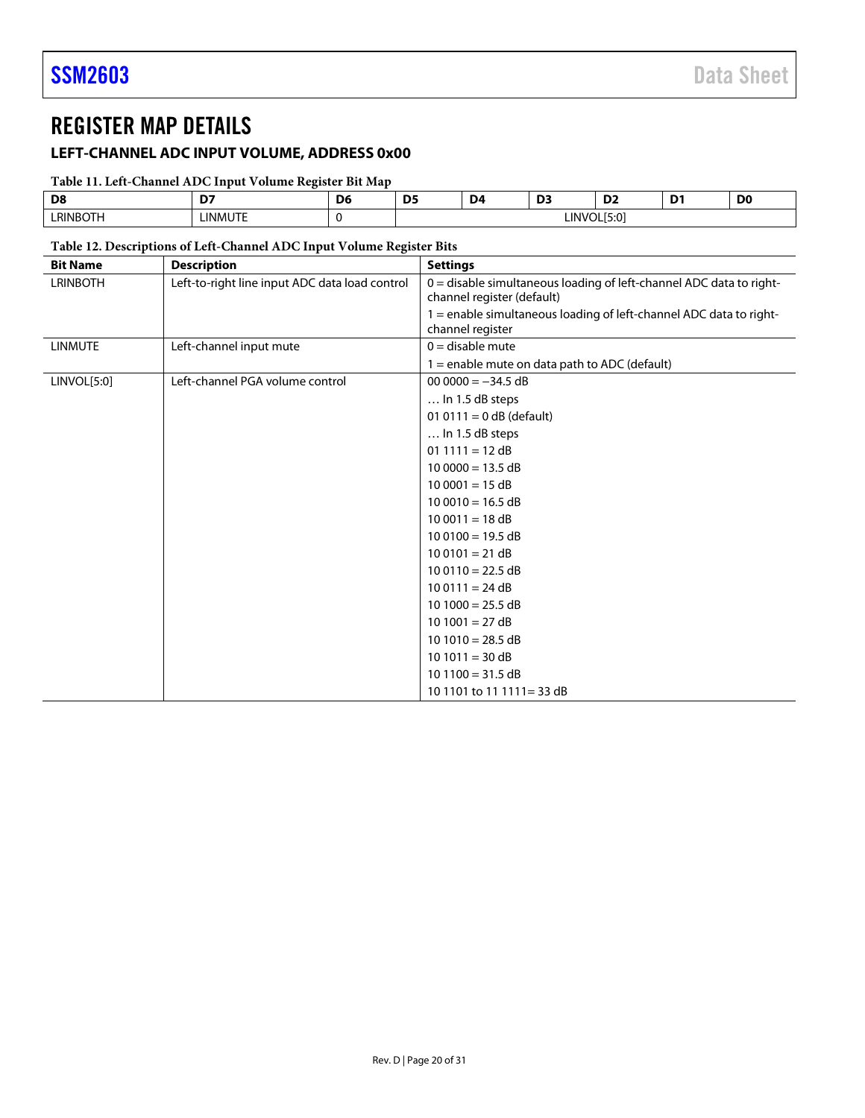### <span id="page-19-0"></span>REGISTER MAP DETAILS

### <span id="page-19-1"></span>**LEFT-CHANNEL ADC INPUT VOLUME, ADDRESS 0x00**

### **Table 11. Left-Channel ADC Input Volume Register Bit Map**

| Dε    | --   | --<br>n. | D4 |     | ~<br>ـ ש    | D <sub>0</sub> |
|-------|------|----------|----|-----|-------------|----------------|
| RINBO | INII |          |    | IN' | $\sim$<br>м |                |

### **Table 12. Descriptions of Left-Channel ADC Input Volume Register Bits**

| <b>Bit Name</b> | <b>Description</b>                             | <b>Settings</b>                                                                                   |
|-----------------|------------------------------------------------|---------------------------------------------------------------------------------------------------|
| <b>LRINBOTH</b> | Left-to-right line input ADC data load control | 0 = disable simultaneous loading of left-channel ADC data to right-<br>channel register (default) |
|                 |                                                | 1 = enable simultaneous loading of left-channel ADC data to right-<br>channel register            |
| <b>LINMUTE</b>  | Left-channel input mute                        | $0 =$ disable mute                                                                                |
|                 |                                                | $1 =$ enable mute on data path to ADC (default)                                                   |
| LINVOL[5:0]     | Left-channel PGA volume control                | $000000 = -34.5$ dB                                                                               |
|                 |                                                | $\dots$ In 1.5 dB steps                                                                           |
|                 |                                                | 01 0111 = $0$ dB (default)                                                                        |
|                 |                                                | $\ldots$ In 1.5 dB steps                                                                          |
|                 |                                                | $01 1111 = 12 dB$                                                                                 |
|                 |                                                | $100000 = 13.5 dB$                                                                                |
|                 |                                                | $100001 = 15 dB$                                                                                  |
|                 |                                                | $100010 = 16.5 dB$                                                                                |
|                 |                                                | $100011 = 18 dB$                                                                                  |
|                 |                                                | $100100 = 19.5 dB$                                                                                |
|                 |                                                | $100101 = 21 dB$                                                                                  |
|                 |                                                | $100110 = 22.5 dB$                                                                                |
|                 |                                                | $100111 = 24 dB$                                                                                  |
|                 |                                                | $10 1000 = 25.5 dB$                                                                               |
|                 |                                                | $10 1001 = 27 dB$                                                                                 |
|                 |                                                | $10 1010 = 28.5 dB$                                                                               |
|                 |                                                | $10 1011 = 30 dB$                                                                                 |
|                 |                                                | $10 1100 = 31.5 dB$                                                                               |
|                 |                                                | 10 1101 to 11 1111 = 33 dB                                                                        |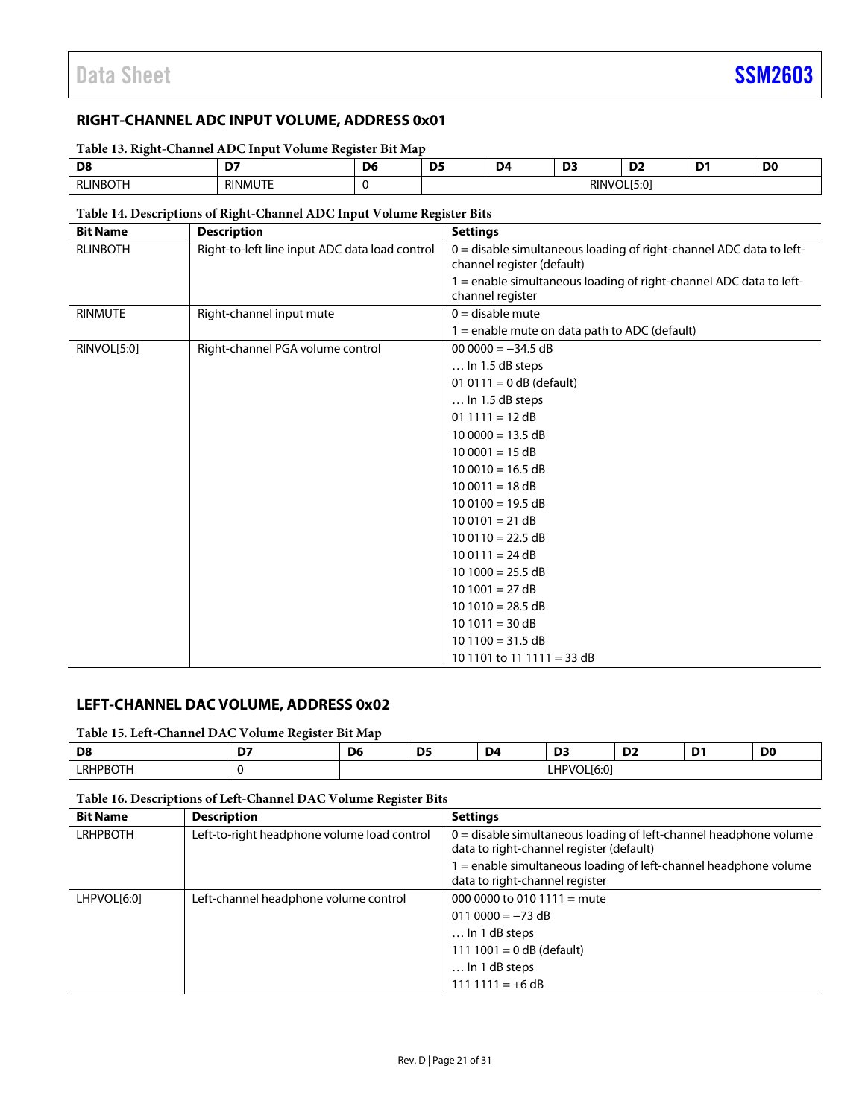### <span id="page-20-0"></span>**RIGHT-CHANNEL ADC INPUT VOLUME, ADDRESS 0x01**

**Table 13. Right-Channel ADC Input Volume Register Bit Map**

| D£<br>◡            | -       | <b>DF</b><br>້. | . . | --<br>. .   | --<br>--      | . .<br>. .<br>- | D <sub>0</sub> |
|--------------------|---------|-----------------|-----|-------------|---------------|-----------------|----------------|
| HNBO <sub>In</sub> | RINMUTE |                 |     | <b>RINV</b> | $\sim$<br>. . |                 |                |

### **Table 14. Descriptions of Right-Channel ADC Input Volume Register Bits**

| <b>Bit Name</b> | <b>Description</b>                             | <b>Settings</b>                                                                                   |
|-----------------|------------------------------------------------|---------------------------------------------------------------------------------------------------|
| <b>RLINBOTH</b> | Right-to-left line input ADC data load control | 0 = disable simultaneous loading of right-channel ADC data to left-<br>channel register (default) |
|                 |                                                | 1 = enable simultaneous loading of right-channel ADC data to left-<br>channel register            |
| <b>RINMUTE</b>  | Right-channel input mute                       | $0 =$ disable mute                                                                                |
|                 |                                                | $1 =$ enable mute on data path to ADC (default)                                                   |
| RINVOL[5:0]     | Right-channel PGA volume control               | $000000 = -34.5 dB$                                                                               |
|                 |                                                | $\ldots$ In 1.5 dB steps                                                                          |
|                 |                                                | 01 0111 = $0$ dB (default)                                                                        |
|                 |                                                | $\dots$ In 1.5 dB steps                                                                           |
|                 |                                                | $01 1111 = 12 dB$                                                                                 |
|                 |                                                | $100000 = 13.5 dB$                                                                                |
|                 |                                                | $100001 = 15 dB$                                                                                  |
|                 |                                                | $100010 = 16.5 dB$                                                                                |
|                 |                                                | $100011 = 18 dB$                                                                                  |
|                 |                                                | $100100 = 19.5 dB$                                                                                |
|                 |                                                | $100101 = 21 dB$                                                                                  |
|                 |                                                | $100110 = 22.5 dB$                                                                                |
|                 |                                                | $100111 = 24 dB$                                                                                  |
|                 |                                                | $10 1000 = 25.5 dB$                                                                               |
|                 |                                                | $10 1001 = 27 dB$                                                                                 |
|                 |                                                | $10 1010 = 28.5 dB$                                                                               |
|                 |                                                | $10 1011 = 30 dB$                                                                                 |
|                 |                                                | $101100 = 31.5 dB$                                                                                |
|                 |                                                | 10 1101 to 11 1111 = 33 dB                                                                        |

### <span id="page-20-1"></span>**LEFT-CHANNEL DAC VOLUME, ADDRESS 0x02**

**Table 15. Left-Channel DAC Volume Register Bit Map**

| Dε         | <b>Section</b><br>- | - -<br>υι | <b>DF</b><br>נט | D4. | $\sim$<br><u>.</u>                                                     | $\sim$<br>◡ | -<br>. . | <b>DO</b> |
|------------|---------------------|-----------|-----------------|-----|------------------------------------------------------------------------|-------------|----------|-----------|
| DR.<br>∟RP |                     |           |                 |     | LHP<br>$\sim$<br>ŰL<br>$\overline{1}$<br>$\sqrt{ }$<br>טיטו<br>_______ |             |          |           |

### **Table 16. Descriptions of Left-Channel DAC Volume Register Bits**

| <b>Bit Name</b> | <b>Description</b>                          | <b>Settings</b>                                                                                                 |
|-----------------|---------------------------------------------|-----------------------------------------------------------------------------------------------------------------|
| <b>LRHPBOTH</b> | Left-to-right headphone volume load control | $0 =$ disable simultaneous loading of left-channel headphone volume<br>data to right-channel register (default) |
|                 |                                             | e enable simultaneous loading of left-channel headphone volume<br>data to right-channel register                |
| LHPVOL[6:0]     | Left-channel headphone volume control       | 000 0000 to 010 1111 = mute                                                                                     |
|                 |                                             | $0110000 = -73 dB$                                                                                              |
|                 |                                             | $\ldots$ In 1 dB steps                                                                                          |
|                 |                                             | 111 1001 = 0 dB (default)                                                                                       |
|                 |                                             | $\ldots$ In 1 dB steps                                                                                          |
|                 |                                             | $111 1111 = +6 dB$                                                                                              |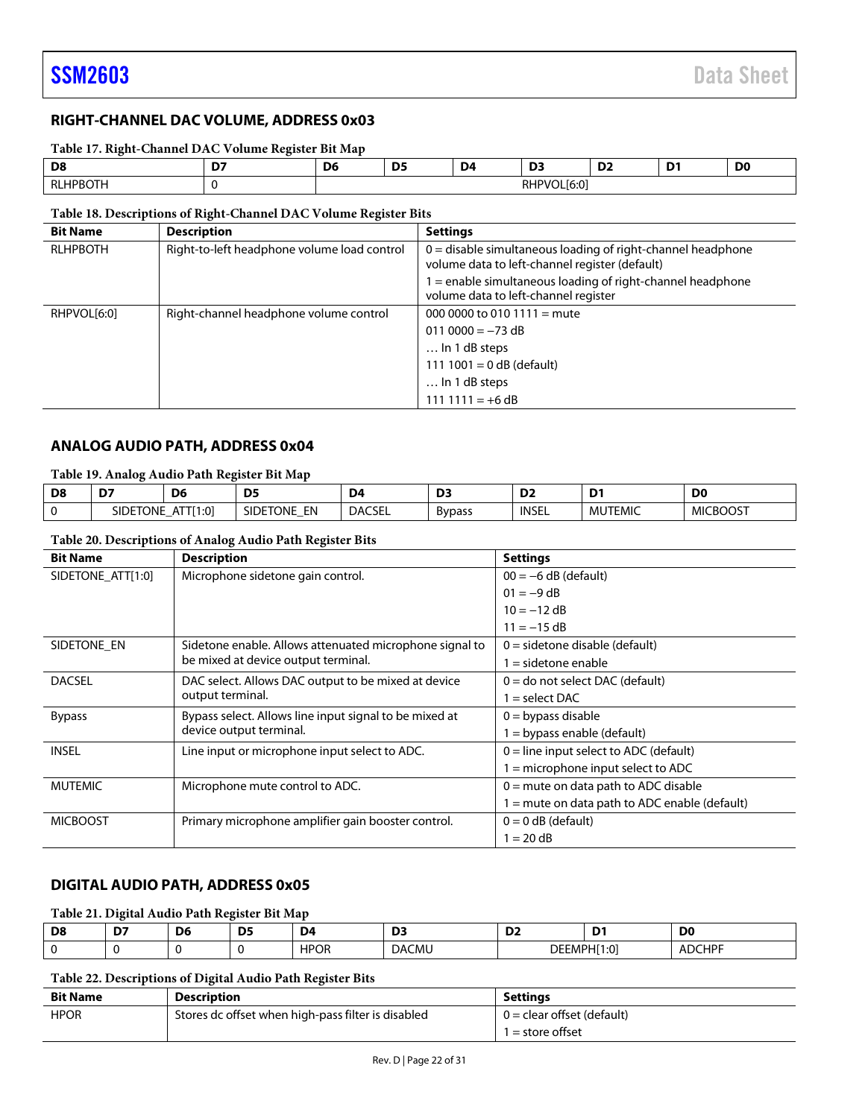### <span id="page-21-0"></span>**RIGHT-CHANNEL DAC VOLUME, ADDRESS 0x03**

**Table 17. Right-Channel DAC Volume Register Bit Map**

| D <sub>8</sub>   | -- | $\sim$<br>D6 | nr.<br>-- | D <sub>4</sub> | $\sim$<br>υ.               | ◡ | - | D <sub>0</sub> |
|------------------|----|--------------|-----------|----------------|----------------------------|---|---|----------------|
| RLH <sub>L</sub> |    |              |           |                | $\sim$<br>ור<br>nnr<br>J.U |   |   |                |

### **Table 18. Descriptions of Right-Channel DAC Volume Register Bits**

| <b>Bit Name</b> | <b>Description</b>                          | <b>Settings</b>                                                                                                 |
|-----------------|---------------------------------------------|-----------------------------------------------------------------------------------------------------------------|
| <b>RLHPBOTH</b> | Right-to-left headphone volume load control | $0 =$ disable simultaneous loading of right-channel headphone<br>volume data to left-channel register (default) |
|                 |                                             | $=$ enable simultaneous loading of right-channel headphone<br>volume data to left-channel register              |
| RHPVOL[6:0]     | Right-channel headphone volume control      | 000 0000 to 010 1111 = mute                                                                                     |
|                 |                                             | $0110000 = -73 dB$                                                                                              |
|                 |                                             | $\ldots$ In 1 dB steps                                                                                          |
|                 |                                             | 111 1001 = $0$ dB (default)                                                                                     |
|                 |                                             | $\ldots$ In 1 dB steps                                                                                          |
|                 |                                             | $111 1111 = +6 dB$                                                                                              |

### <span id="page-21-1"></span>**ANALOG AUDIO PATH, ADDRESS 0x04**

### **Table 19. Analog Audio Path Register Bit Map**

| D8 | $-$<br>D.                 | D <sub>6</sub>                              | nr.<br><u>.</u>            | D <sub>4</sub> | ◡             | n-<br>⊿ע | -<br>້         | D <sub>0</sub>  |
|----|---------------------------|---------------------------------------------|----------------------------|----------------|---------------|----------|----------------|-----------------|
|    | Tone<br>SIDE <sup>-</sup> | $1:0$ <sup>1</sup><br>$\mathbf{u}$<br>AL LL | EN<br><b>SIDETONE</b><br>– | <b>DACSEL</b>  | <b>Bypass</b> | INSEL    | <b>MUTEMIC</b> | <b>MICBOOST</b> |

### **Table 20. Descriptions of Analog Audio Path Register Bits**

| <b>Bit Name</b>   | <b>Description</b>                                      | <b>Settings</b>                               |  |  |
|-------------------|---------------------------------------------------------|-----------------------------------------------|--|--|
| SIDETONE_ATT[1:0] | Microphone sidetone gain control.                       | $00 = -6$ dB (default)                        |  |  |
|                   |                                                         | $01 = -9 dB$                                  |  |  |
|                   |                                                         | $10 = -12$ dB                                 |  |  |
|                   |                                                         | $11 = -15$ dB                                 |  |  |
| SIDETONE EN       | Sidetone enable. Allows attenuated microphone signal to | $0 =$ sidetone disable (default)              |  |  |
|                   | be mixed at device output terminal.                     | $=$ sidetone enable                           |  |  |
| <b>DACSEL</b>     | DAC select. Allows DAC output to be mixed at device     | $0 =$ do not select DAC (default)             |  |  |
|                   | output terminal.                                        | $=$ select DAC                                |  |  |
| <b>Bypass</b>     | Bypass select. Allows line input signal to be mixed at  | $0 =$ bypass disable                          |  |  |
|                   | device output terminal.                                 | $=$ bypass enable (default)                   |  |  |
| <b>INSEL</b>      | Line input or microphone input select to ADC.           | $0 =$ line input select to ADC (default)      |  |  |
|                   |                                                         | = microphone input select to ADC              |  |  |
| <b>MUTEMIC</b>    | Microphone mute control to ADC.                         | $0 =$ mute on data path to ADC disable        |  |  |
|                   |                                                         | $=$ mute on data path to ADC enable (default) |  |  |
| <b>MICBOOST</b>   | Primary microphone amplifier gain booster control.      | $0 = 0$ dB (default)                          |  |  |
|                   |                                                         | $= 20$ dB                                     |  |  |

### <span id="page-21-2"></span>**DIGITAL AUDIO PATH, ADDRESS 0x05**

### **Table 21. Digital Audio Path Register Bit Map**

| D <sub>8</sub><br>__ | - D <sup>7</sup><br>the contract of the contract of the | D6<br>__ | $-$<br><u>.</u><br>__ | D <sub>4</sub><br>the contract of the contract of the | ים<br>--<br>$-$ | $\sim$<br>ـ ـ<br>the contract of the contract of the  | $\sim$<br>the contract of the contract of the | D <sub>0</sub> |
|----------------------|---------------------------------------------------------|----------|-----------------------|-------------------------------------------------------|-----------------|-------------------------------------------------------|-----------------------------------------------|----------------|
|                      |                                                         |          |                       | <b>HPOR</b>                                           | <b>DACMU</b>    | <b>DEEMPHI</b><br>the contract of the contract of the | $1:0^1$                                       | <b>ADCHPF</b>  |

### **Table 22. Descriptions of Digital Audio Path Register Bits**

| <b>Bit Name</b> | <b>Description</b>                                 | <b>Settings</b>              |
|-----------------|----------------------------------------------------|------------------------------|
| <b>HPOR</b>     | Stores dc offset when high-pass filter is disabled | $0 =$ clear offset (default) |
|                 |                                                    | $1 =$ store offset           |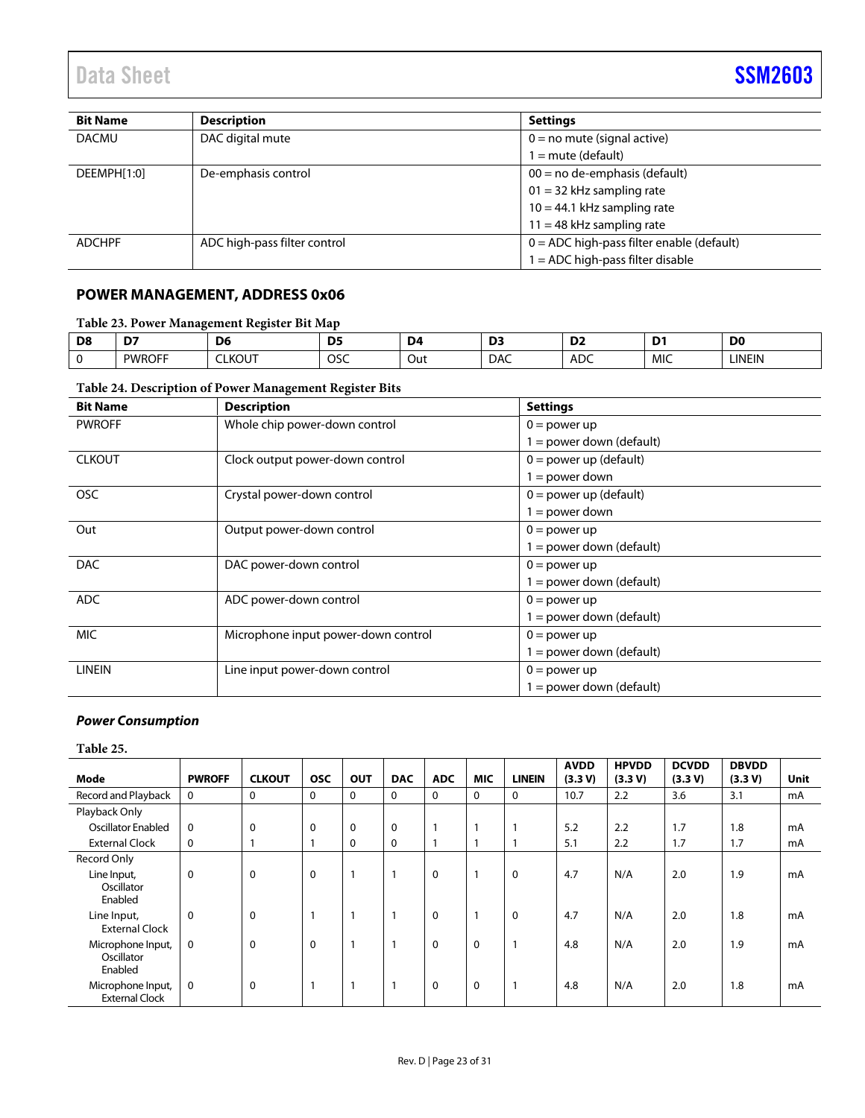| <b>Bit Name</b> | <b>Description</b>           | <b>Settings</b>                             |
|-----------------|------------------------------|---------------------------------------------|
| <b>DACMU</b>    | DAC digital mute             | $0 = no$ mute (signal active)               |
|                 |                              | $1 =$ mute (default)                        |
| DEEMPH[1:0]     | De-emphasis control          | $00 = no$ de-emphasis (default)             |
|                 |                              | $01 = 32$ kHz sampling rate                 |
|                 |                              | $10 = 44.1$ kHz sampling rate               |
|                 |                              | $11 = 48$ kHz sampling rate                 |
| <b>ADCHPF</b>   | ADC high-pass filter control | $0 = ADC$ high-pass filter enable (default) |
|                 |                              | $1 = ADC$ high-pass filter disable          |

### <span id="page-22-0"></span>**POWER MANAGEMENT, ADDRESS 0x06**

### **Table 23. Power Management Register Bit Map**

| D <sub>8</sub> | $\mathsf{D}^{\pi}$ | D <sub>6</sub> | <b>DF</b><br>. . | D4  | --<br>--   | n-<br>ـ ب     | . .        | D <sub>C</sub> |
|----------------|--------------------|----------------|------------------|-----|------------|---------------|------------|----------------|
|                | <b>PWROFF</b>      | $\sim$<br>LKUU | OSC              | Out | <b>DAC</b> | $\sim$<br>ADC | <b>MIC</b> | <b>LINEIN</b>  |

### **Table 24. Description of Power Management Register Bits**

| <b>Bit Name</b> | <b>Description</b>                  | <b>Settings</b>            |  |
|-----------------|-------------------------------------|----------------------------|--|
| <b>PWROFF</b>   | Whole chip power-down control       | $0 = power up$             |  |
|                 |                                     | $1 = power down (default)$ |  |
| <b>CLKOUT</b>   | Clock output power-down control     | $0 = power$ up (default)   |  |
|                 |                                     | $1 = power down$           |  |
| <b>OSC</b>      | Crystal power-down control          | $0 = power$ up (default)   |  |
|                 |                                     | $1 = power down$           |  |
| Out             | Output power-down control           | $0 = power up$             |  |
|                 |                                     | $1 = power down (default)$ |  |
| <b>DAC</b>      | DAC power-down control              | $0 = power up$             |  |
|                 |                                     | $1 = power down (default)$ |  |
| ADC             | ADC power-down control              | $0 = power up$             |  |
|                 |                                     | $1 = power down (default)$ |  |
| <b>MIC</b>      | Microphone input power-down control | $0 = power up$             |  |
|                 |                                     | $1 = power down (default)$ |  |
| <b>LINEIN</b>   | Line input power-down control       | $0 = power up$             |  |
|                 |                                     | $1 = power down (default)$ |  |

### **Power Consumption**

#### **Table 25.**

| Mode                                       | <b>PWROFF</b> | <b>CLKOUT</b> | <b>OSC</b>  | <b>OUT</b> | <b>DAC</b>  | <b>ADC</b>  | <b>MIC</b>   | <b>LINEIN</b> | <b>AVDD</b><br>(3.3 V) | <b>HPVDD</b><br>(3.3 V) | <b>DCVDD</b><br>(3.3 V) | <b>DBVDD</b><br>(3.3 V) | Unit |
|--------------------------------------------|---------------|---------------|-------------|------------|-------------|-------------|--------------|---------------|------------------------|-------------------------|-------------------------|-------------------------|------|
| Record and Playback                        | 0             | $\mathbf 0$   | 0           | 0          | 0           | 0           | 0            | 0             | 10.7                   | 2.2                     | 3.6                     | 3.1                     | mA   |
| Playback Only                              |               |               |             |            |             |             |              |               |                        |                         |                         |                         |      |
| <b>Oscillator Enabled</b>                  | $\mathbf 0$   | $\mathbf 0$   | 0           | 0          | $\mathbf 0$ | 1           |              |               | 5.2                    | 2.2                     | 1.7                     | 1.8                     | mA   |
| <b>External Clock</b>                      | 0             |               |             | 0          | $\mathbf 0$ | 1           | 1            |               | 5.1                    | 2.2                     | 1.7                     | 1.7                     | mA   |
| Record Only                                |               |               |             |            |             |             |              |               |                        |                         |                         |                         |      |
| Line Input,<br>Oscillator<br>Enabled       | 0             | 0             | $\mathbf 0$ |            | 1           | $\pmb{0}$   | 1            | 0             | 4.7                    | N/A                     | 2.0                     | 1.9                     | mA   |
| Line Input,<br><b>External Clock</b>       | $\mathbf 0$   | $\mathbf 0$   |             |            | 1           | 0           | $\mathbf{1}$ | 0             | 4.7                    | N/A                     | 2.0                     | 1.8                     | mA   |
| Microphone Input,<br>Oscillator<br>Enabled | 0             | $\mathbf 0$   | 0           | 1          | 1           | 0           | 0            |               | 4.8                    | N/A                     | 2.0                     | 1.9                     | mA   |
| Microphone Input,<br><b>External Clock</b> | 0             | $\mathbf 0$   | 1           | 1          | 1           | $\mathbf 0$ | $\mathbf 0$  |               | 4.8                    | N/A                     | 2.0                     | 1.8                     | mA   |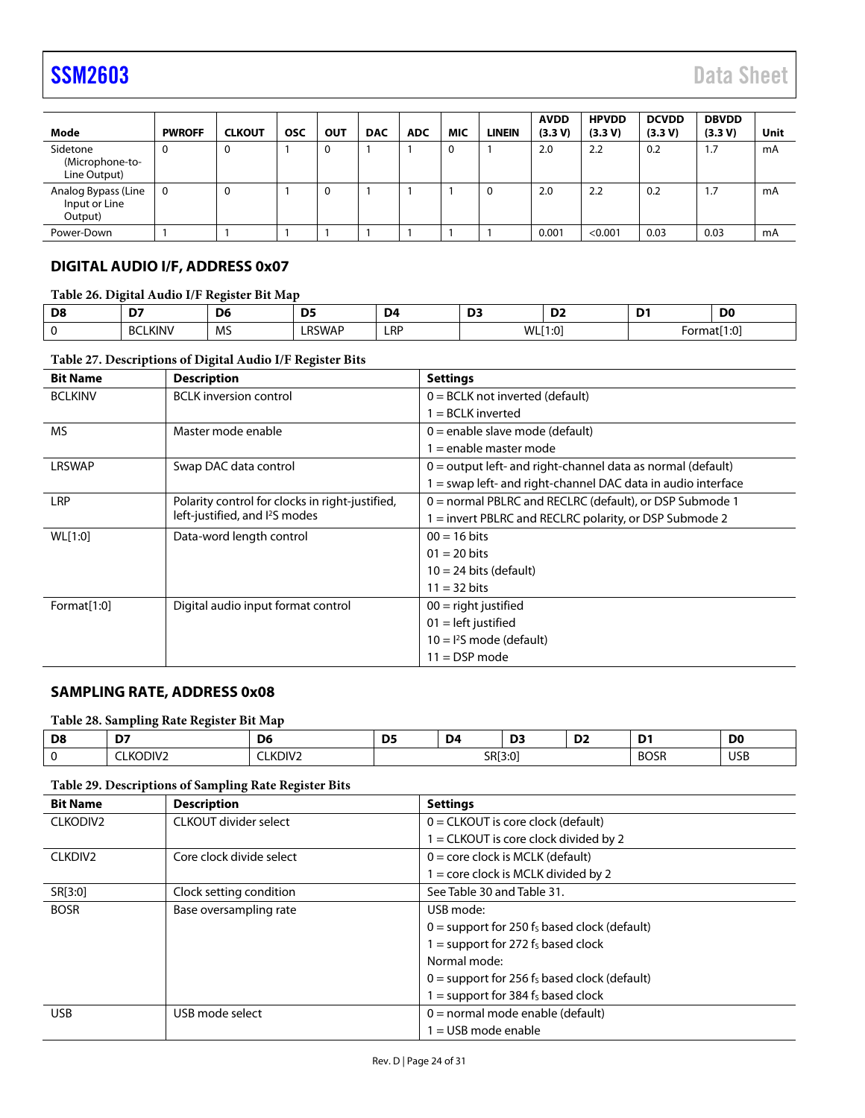| Mode                                            | <b>PWROFF</b> | <b>CLKOUT</b> | <b>OSC</b> | OUT      | <b>DAC</b> | <b>ADC</b> | <b>MIC</b>  | <b>LINEIN</b> | <b>AVDD</b><br>(3.3 V) | <b>HPVDD</b><br>(3.3 V) | <b>DCVDD</b><br>(3.3 V) | <b>DBVDD</b><br>(3.3 V) | Unit |
|-------------------------------------------------|---------------|---------------|------------|----------|------------|------------|-------------|---------------|------------------------|-------------------------|-------------------------|-------------------------|------|
| Sidetone<br>(Microphone-to-<br>Line Output)     | 0             | 0             |            | $\Omega$ |            |            | $\mathbf 0$ |               | 2.0                    | 2.2                     | 0.2                     | 1.7                     | mA   |
| Analog Bypass (Line<br>Input or Line<br>Output) | 0             | 0             |            | $\Omega$ |            |            |             | 0             | 2.0                    | 2.2                     | 0.2                     | 1.7                     | mA   |
| Power-Down                                      |               |               |            |          |            |            |             |               | 0.001                  | < 0.001                 | 0.03                    | 0.03                    | mA   |

### <span id="page-23-0"></span>**DIGITAL AUDIO I/F, ADDRESS 0x07**

**Table 26. Digital Audio I/F Register Bit Map** 

| <b>DS</b><br>. . | $-$<br>м.                                                                      | n.<br>vc       | יח<br>ັ້                | D4         |                  | $\sim$<br>◡      | -      | D.<br>יש               |
|------------------|--------------------------------------------------------------------------------|----------------|-------------------------|------------|------------------|------------------|--------|------------------------|
|                  | <b>KINV</b><br>DCI.<br><b>DU</b><br><b>Contract Contract Contract Contract</b> | A A C<br>ت ۱۷۱ | $\cdots$<br>DC<br>RSWAF | <b>LRP</b> | <b>MI</b><br>VVL | $\sim$<br>' ∪، ۱ | Format | $.1 \cdot C$<br>. I .U |

### **Table 27. Descriptions of Digital Audio I/F Register Bits**

| <b>Bit Name</b> | <b>Description</b>                              | <b>Settings</b>                                               |  |  |  |
|-----------------|-------------------------------------------------|---------------------------------------------------------------|--|--|--|
| <b>BCLKINV</b>  | <b>BCLK</b> inversion control                   | $0 = BCLK$ not inverted (default)                             |  |  |  |
|                 |                                                 | $=$ BCLK inverted                                             |  |  |  |
| <b>MS</b>       | Master mode enable                              | $0$ = enable slave mode (default)                             |  |  |  |
|                 |                                                 | = enable master mode                                          |  |  |  |
| <b>LRSWAP</b>   | Swap DAC data control                           | $0 =$ output left- and right-channel data as normal (default) |  |  |  |
|                 |                                                 | I = swap left- and right-channel DAC data in audio interface  |  |  |  |
| <b>LRP</b>      | Polarity control for clocks in right-justified, | $0 =$ normal PBLRC and RECLRC (default), or DSP Submode 1     |  |  |  |
|                 | left-justified, and I <sup>2</sup> S modes      | = invert PBLRC and RECLRC polarity, or DSP Submode 2          |  |  |  |
| WL[1:0]         | Data-word length control                        | $00 = 16$ bits                                                |  |  |  |
|                 |                                                 | $01 = 20$ bits                                                |  |  |  |
|                 |                                                 | $10 = 24$ bits (default)                                      |  |  |  |
|                 |                                                 | $11 = 32 \text{ bits}$                                        |  |  |  |
| Format[1:0]     | Digital audio input format control              | $00 =$ right justified                                        |  |  |  |
|                 |                                                 | $01 = left$ justified                                         |  |  |  |
|                 |                                                 | $10 = l2S$ mode (default)                                     |  |  |  |
|                 |                                                 | $11 =$ DSP mode                                               |  |  |  |

### <span id="page-23-1"></span>**SAMPLING RATE, ADDRESS 0x08**

### **Table 28. Sampling Rate Register Bit Map**

<span id="page-23-2"></span>

| D8 | $-$<br>the contract of the contract of the | - -<br>DΘ<br>$-$ | <b>DF</b><br>υ.<br>__ | D <sub>4</sub><br>the contract of the contract of the con- | --<br>◡<br>___ | n-<br>— ∪⊾<br>the contract of the contract of the contract of | -<br>the contract of the contract of the | D <sub>0</sub><br>$-$ |
|----|--------------------------------------------|------------------|-----------------------|------------------------------------------------------------|----------------|---------------------------------------------------------------|------------------------------------------|-----------------------|
|    | KODIV2<br>'Κ                               | KDIV2            |                       | SR[3:0                                                     |                |                                                               | <b>BOSR</b>                              | USB<br>- - -          |

### **Table 29. Descriptions of Sampling Rate Register Bits**

| <b>Bit Name</b>      | <b>Description</b>       | <b>Settings</b>                                |
|----------------------|--------------------------|------------------------------------------------|
| CLKODIV <sub>2</sub> | CLKOUT divider select    | $0 =$ CLKOUT is core clock (default)           |
|                      |                          | = CLKOUT is core clock divided by 2            |
| CLKDIV <sub>2</sub>  | Core clock divide select | $0 =$ core clock is MCLK (default)             |
|                      |                          | I = core clock is MCLK divided by 2            |
| SR[3:0]              | Clock setting condition  | See Table 30 and Table 31.                     |
| <b>BOSR</b>          | Base oversampling rate   | USB mode:                                      |
|                      |                          | $0 =$ support for 250 fs based clock (default) |
|                      |                          | $1 =$ support for 272 $f_s$ based clock        |
|                      |                          | Normal mode:                                   |
|                      |                          | $0 =$ support for 256 fs based clock (default) |
|                      |                          | $I = support for 384 fS based clock$           |
| <b>USB</b>           | USB mode select          | $0 =$ normal mode enable (default)             |
|                      |                          | $=$ USB mode enable                            |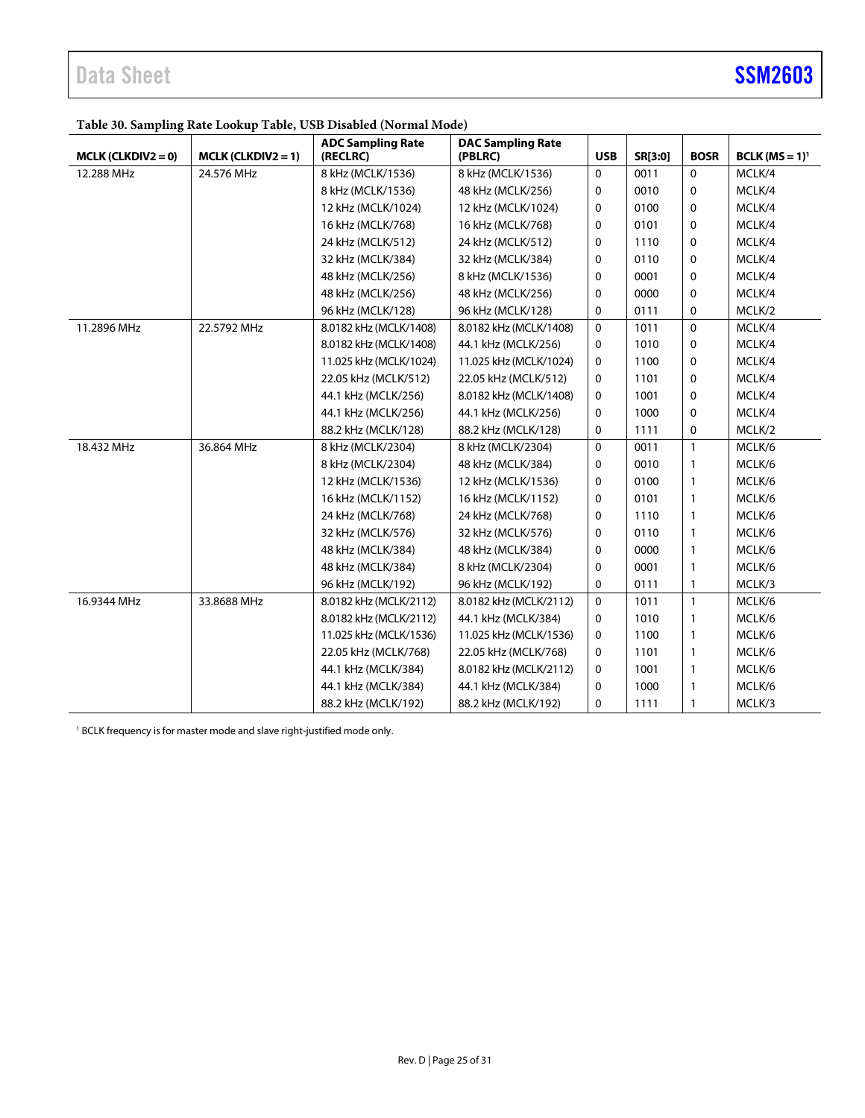### <span id="page-24-0"></span>**Table 30. Sampling Rate Lookup Table, USB Disabled (Normal Mode)**

|                      |                      | <b>ADC Sampling Rate</b> | <b>DAC Sampling Rate</b> |            |         |              |                  |
|----------------------|----------------------|--------------------------|--------------------------|------------|---------|--------------|------------------|
| $MCLK (CLKDIV2 = 0)$ | $MCLK (CLKDIV2 = 1)$ | (RECLRC)                 | (PBLRC)                  | <b>USB</b> | SR[3:0] | <b>BOSR</b>  | $BCLK (MS = 1)1$ |
| 12.288 MHz           | 24.576 MHz           | 8 kHz (MCLK/1536)        | 8 kHz (MCLK/1536)        | 0          | 0011    | 0            | MCLK/4           |
|                      |                      | 8 kHz (MCLK/1536)        | 48 kHz (MCLK/256)        | 0          | 0010    | 0            | MCLK/4           |
|                      |                      | 12 kHz (MCLK/1024)       | 12 kHz (MCLK/1024)       | 0          | 0100    | 0            | MCLK/4           |
|                      |                      | 16 kHz (MCLK/768)        | 16 kHz (MCLK/768)        | 0          | 0101    | 0            | MCLK/4           |
|                      |                      | 24 kHz (MCLK/512)        | 24 kHz (MCLK/512)        | 0          | 1110    | 0            | MCLK/4           |
|                      |                      | 32 kHz (MCLK/384)        | 32 kHz (MCLK/384)        | 0          | 0110    | 0            | MCLK/4           |
|                      |                      | 48 kHz (MCLK/256)        | 8 kHz (MCLK/1536)        | 0          | 0001    | 0            | MCLK/4           |
|                      |                      | 48 kHz (MCLK/256)        | 48 kHz (MCLK/256)        | 0          | 0000    | 0            | MCLK/4           |
|                      |                      | 96 kHz (MCLK/128)        | 96 kHz (MCLK/128)        | 0          | 0111    | 0            | MCLK/2           |
| 11.2896 MHz          | 22.5792 MHz          | 8.0182 kHz (MCLK/1408)   | 8.0182 kHz (MCLK/1408)   | 0          | 1011    | $\mathbf 0$  | MCLK/4           |
|                      |                      | 8.0182 kHz (MCLK/1408)   | 44.1 kHz (MCLK/256)      | 0          | 1010    | 0            | MCLK/4           |
|                      |                      | 11.025 kHz (MCLK/1024)   | 11.025 kHz (MCLK/1024)   | 0          | 1100    | 0            | MCLK/4           |
|                      |                      | 22.05 kHz (MCLK/512)     | 22.05 kHz (MCLK/512)     | 0          | 1101    | 0            | MCLK/4           |
|                      |                      | 44.1 kHz (MCLK/256)      | 8.0182 kHz (MCLK/1408)   | 0          | 1001    | 0            | MCLK/4           |
|                      |                      | 44.1 kHz (MCLK/256)      | 44.1 kHz (MCLK/256)      | 0          | 1000    | 0            | MCLK/4           |
|                      |                      | 88.2 kHz (MCLK/128)      | 88.2 kHz (MCLK/128)      | 0          | 1111    | 0            | MCLK/2           |
| 18.432 MHz           | 36.864 MHz           | 8 kHz (MCLK/2304)        | 8 kHz (MCLK/2304)        | 0          | 0011    | $\mathbf{1}$ | MCLK/6           |
|                      |                      | 8 kHz (MCLK/2304)        | 48 kHz (MCLK/384)        | 0          | 0010    | $\mathbf{1}$ | MCLK/6           |
|                      |                      | 12 kHz (MCLK/1536)       | 12 kHz (MCLK/1536)       | 0          | 0100    | 1            | MCLK/6           |
|                      |                      | 16 kHz (MCLK/1152)       | 16 kHz (MCLK/1152)       | 0          | 0101    | 1            | MCLK/6           |
|                      |                      | 24 kHz (MCLK/768)        | 24 kHz (MCLK/768)        | 0          | 1110    | 1            | MCLK/6           |
|                      |                      | 32 kHz (MCLK/576)        | 32 kHz (MCLK/576)        | 0          | 0110    | $\mathbf{1}$ | MCLK/6           |
|                      |                      | 48 kHz (MCLK/384)        | 48 kHz (MCLK/384)        | 0          | 0000    | 1            | MCLK/6           |
|                      |                      | 48 kHz (MCLK/384)        | 8 kHz (MCLK/2304)        | 0          | 0001    | 1            | MCLK/6           |
|                      |                      | 96 kHz (MCLK/192)        | 96 kHz (MCLK/192)        | 0          | 0111    | $\mathbf{1}$ | MCLK/3           |
| 16.9344 MHz          | 33.8688 MHz          | 8.0182 kHz (MCLK/2112)   | 8.0182 kHz (MCLK/2112)   | 0          | 1011    | $\mathbf{1}$ | MCLK/6           |
|                      |                      | 8.0182 kHz (MCLK/2112)   | 44.1 kHz (MCLK/384)      | 0          | 1010    | 1            | MCLK/6           |
|                      |                      | 11.025 kHz (MCLK/1536)   | 11.025 kHz (MCLK/1536)   | 0          | 1100    | 1            | MCLK/6           |
|                      |                      | 22.05 kHz (MCLK/768)     | 22.05 kHz (MCLK/768)     | 0          | 1101    | $\mathbf{1}$ | MCLK/6           |
|                      |                      | 44.1 kHz (MCLK/384)      | 8.0182 kHz (MCLK/2112)   | 0          | 1001    | $\mathbf{1}$ | MCLK/6           |
|                      |                      | 44.1 kHz (MCLK/384)      | 44.1 kHz (MCLK/384)      | 0          | 1000    | $\mathbf{1}$ | MCLK/6           |
|                      |                      | 88.2 kHz (MCLK/192)      | 88.2 kHz (MCLK/192)      | 0          | 1111    | 1            | MCLK/3           |

<sup>1</sup> BCLK frequency is for master mode and slave right-justified mode only.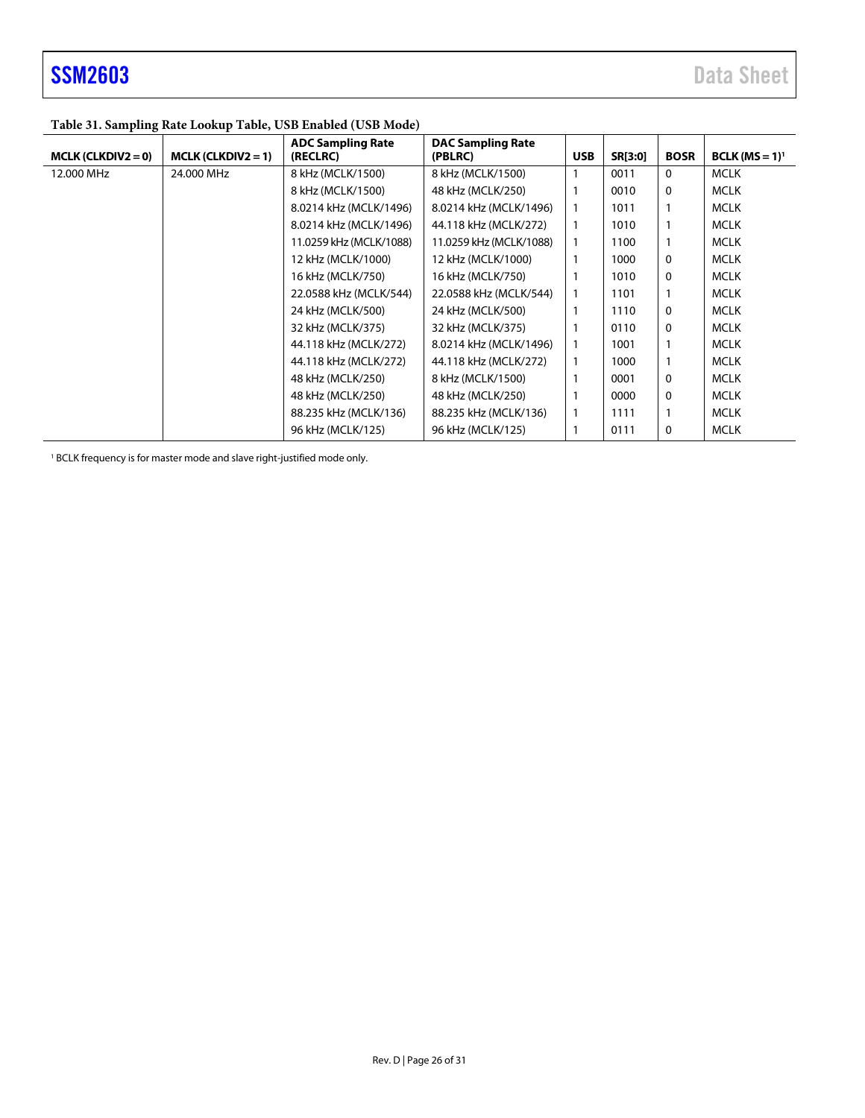### <span id="page-25-0"></span>**Table 31. Sampling Rate Lookup Table, USB Enabled (USB Mode)**

| $MCLK (CLKDIV2 = 0)$ | $MCLK (CLKDIV2 = 1)$ | <b>ADC Sampling Rate</b><br>(RECLRC) | <b>DAC Sampling Rate</b><br>(PBLRC) | <b>USB</b>   | SR[3:0] | <b>BOSR</b>  | $BCLK (MS = 1)1$ |
|----------------------|----------------------|--------------------------------------|-------------------------------------|--------------|---------|--------------|------------------|
| 12,000 MHz           | 24.000 MHz           | 8 kHz (MCLK/1500)                    | 8 kHz (MCLK/1500)                   |              | 0011    | $\mathbf{0}$ | <b>MCLK</b>      |
|                      |                      | 8 kHz (MCLK/1500)                    | 48 kHz (MCLK/250)                   |              | 0010    | 0            | <b>MCLK</b>      |
|                      |                      | 8.0214 kHz (MCLK/1496)               | 8.0214 kHz (MCLK/1496)              |              | 1011    |              | <b>MCLK</b>      |
|                      |                      | 8.0214 kHz (MCLK/1496)               | 44.118 kHz (MCLK/272)               | $\mathbf{1}$ | 1010    |              | <b>MCLK</b>      |
|                      |                      | 11.0259 kHz (MCLK/1088)              | 11.0259 kHz (MCLK/1088)             |              | 1100    |              | <b>MCLK</b>      |
|                      |                      | 12 kHz (MCLK/1000)                   | 12 kHz (MCLK/1000)                  |              | 1000    | 0            | <b>MCLK</b>      |
|                      |                      | 16 kHz (MCLK/750)                    | 16 kHz (MCLK/750)                   |              | 1010    | 0            | <b>MCLK</b>      |
|                      |                      | 22.0588 kHz (MCLK/544)               | 22.0588 kHz (MCLK/544)              |              | 1101    |              | <b>MCLK</b>      |
|                      |                      | 24 kHz (MCLK/500)                    | 24 kHz (MCLK/500)                   |              | 1110    | 0            | <b>MCLK</b>      |
|                      |                      | 32 kHz (MCLK/375)                    | 32 kHz (MCLK/375)                   |              | 0110    | 0            | <b>MCLK</b>      |
|                      |                      | 44.118 kHz (MCLK/272)                | 8.0214 kHz (MCLK/1496)              |              | 1001    |              | <b>MCLK</b>      |
|                      |                      | 44.118 kHz (MCLK/272)                | 44.118 kHz (MCLK/272)               | -1           | 1000    |              | <b>MCLK</b>      |
|                      |                      | 48 kHz (MCLK/250)                    | 8 kHz (MCLK/1500)                   |              | 0001    | 0            | <b>MCLK</b>      |
|                      |                      | 48 kHz (MCLK/250)                    | 48 kHz (MCLK/250)                   |              | 0000    | 0            | <b>MCLK</b>      |
|                      |                      | 88.235 kHz (MCLK/136)                | 88.235 kHz (MCLK/136)               | 1            | 1111    |              | <b>MCLK</b>      |
|                      |                      | 96 kHz (MCLK/125)                    | 96 kHz (MCLK/125)                   |              | 0111    | 0            | <b>MCLK</b>      |

<sup>1</sup> BCLK frequency is for master mode and slave right-justified mode only.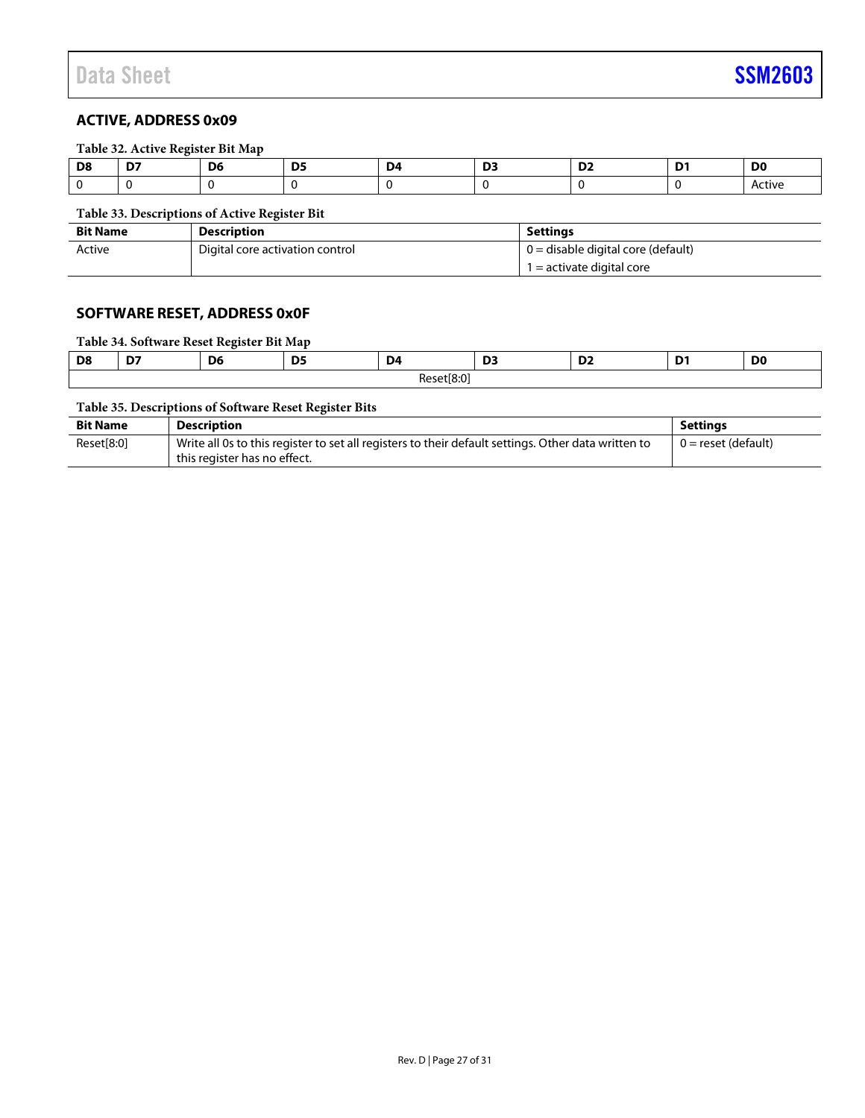### <span id="page-26-0"></span>**Table 32. Active Register Bit Map**

| D8 | --<br>⊷ | .n<br>vo | --<br>- - | D4 | . .<br>- - | - | D0     |
|----|---------|----------|-----------|----|------------|---|--------|
|    |         |          |           |    |            |   | Active |

### **Table 33. Descriptions of Active Register Bit**

| <b>Bit Name</b> | <b>Description</b>              | Settinas                           |
|-----------------|---------------------------------|------------------------------------|
| Active          | Digital core activation control | 0 = disable digital core (default) |
|                 |                                 | $1 =$ activate digital core        |

### <span id="page-26-1"></span>**SOFTWARE RESET, ADDRESS 0x0F**

### **Table 34. Software Reset Register Bit Map**

| D <sub>8</sub> | $\sim$<br>. .   | D <sub>6</sub> | <b>DE</b><br>יי | D <sub>4</sub> | $\mathbf{r}$<br>◡ | $\sim$<br>◡▵ | D <sub>1</sub><br>.,<br>- - | D <sub>0</sub> |
|----------------|-----------------|----------------|-----------------|----------------|-------------------|--------------|-----------------------------|----------------|
|                | t[8:0]<br>Reset |                |                 |                |                   |              |                             |                |

### **Table 35. Descriptions of Software Reset Register Bits**

| <b>Bit Name</b> | <b>Description</b>                                                                                                                  | Settinas            |
|-----------------|-------------------------------------------------------------------------------------------------------------------------------------|---------------------|
| Reset[8:0]      | Write all 0s to this register to set all registers to their default settings. Other data written to<br>this register has no effect. | 0 = reset (default) |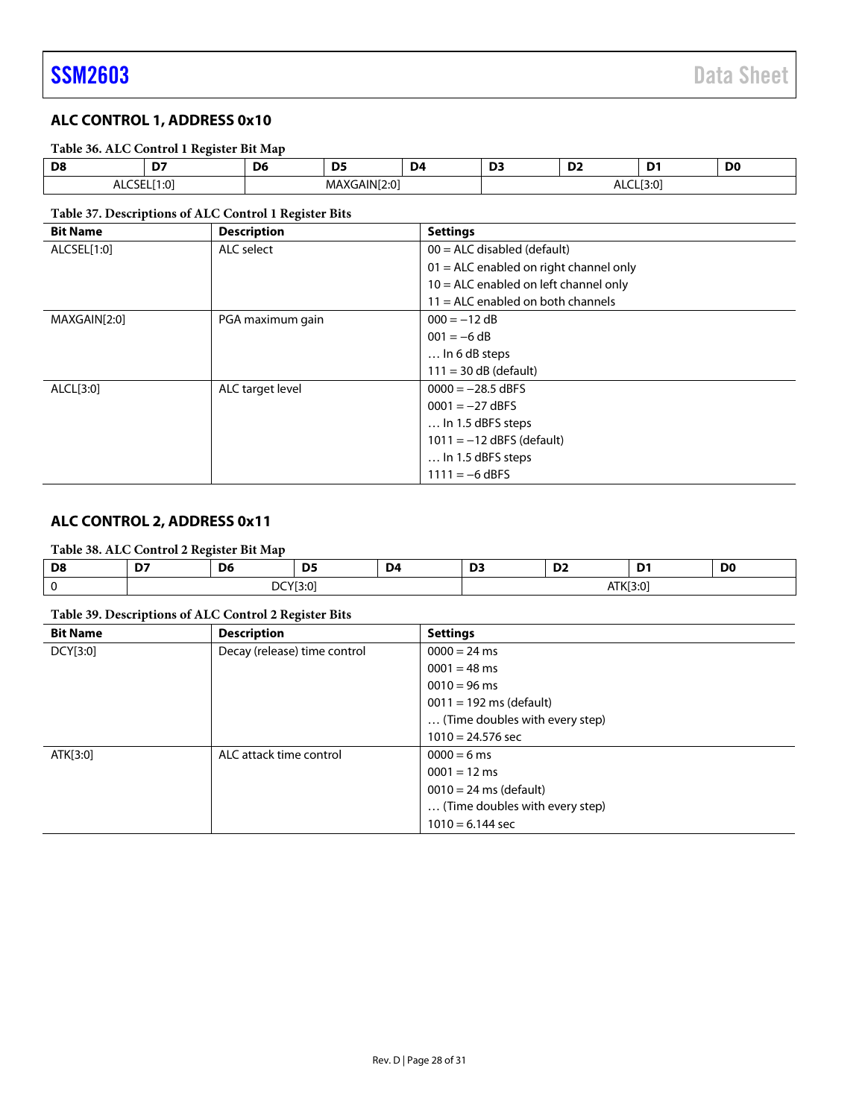### <span id="page-27-0"></span>**ALC CONTROL 1, ADDRESS 0x10**

### **Table 36. ALC Control 1 Register Bit Map**

| D8              | --<br>. .      | De | --<br>--               | D4 | --<br>-- | D.<br>. . | . . | D.<br>יש |
|-----------------|----------------|----|------------------------|----|----------|-----------|-----|----------|
| <b>ALCOLL[1</b> | ~~<br>$\cdots$ |    | GAIN[2:0<br>MP.<br>. . |    |          | ─         | J.v |          |

### **Table 37. Descriptions of ALC Control 1 Register Bits**

| <b>Bit Name</b> | <b>Description</b> | <b>Settings</b>                          |
|-----------------|--------------------|------------------------------------------|
| ALCSEL[1:0]     | ALC select         | $00 = ALC$ disabled (default)            |
|                 |                    | $01 =$ ALC enabled on right channel only |
|                 |                    | $10 =$ ALC enabled on left channel only  |
|                 |                    | $11 =$ ALC enabled on both channels      |
| MAXGAIN[2:0]    | PGA maximum gain   | $000 = -12 dB$                           |
|                 |                    | $001 = -6 dB$                            |
|                 |                    | $\ldots$ In 6 dB steps                   |
|                 |                    | $111 = 30 dB$ (default)                  |
| ALCL[3:0]       | ALC target level   | $0000 = -28.5$ dBFS                      |
|                 |                    | $0001 = -27$ dBFS                        |
|                 |                    | $\ldots$ In 1.5 dBFS steps               |
|                 |                    | $1011 = -12$ dBFS (default)              |
|                 |                    | $\ldots$ In 1.5 dBFS steps               |
|                 |                    | $1111 = -6$ dBFS                         |

### <span id="page-27-1"></span>**ALC CONTROL 2, ADDRESS 0x11**

### **Table 38. ALC Control 2 Register Bit Map**

| D <sub>8</sub><br>$ -$ | $\sim$<br>the contract of the contract of | D <sub>6</sub><br>__ | <b>DE</b><br>כע | D4<br>the contract of the contract of | יח<br>__ | $-$<br>◡ | -<br>. .<br>the contract of the contract of | D <sub>0</sub> |
|------------------------|-------------------------------------------|----------------------|-----------------|---------------------------------------|----------|----------|---------------------------------------------|----------------|
|                        | DCY[3:0]                                  |                      |                 |                                       |          |          | TK[3:0]<br>J.UL                             |                |

### **Table 39. Descriptions of ALC Control 2 Register Bits**

| <b>Bit Name</b> | <b>Description</b>           | <b>Settings</b>                   |
|-----------------|------------------------------|-----------------------------------|
| DCY[3:0]        | Decay (release) time control | $0000 = 24$ ms                    |
|                 |                              | $0001 = 48$ ms                    |
|                 |                              | $0010 = 96$ ms                    |
|                 |                              | $0011 = 192 \text{ ms}$ (default) |
|                 |                              | (Time doubles with every step)    |
|                 |                              | $1010 = 24.576$ sec               |
| ATK[3:0]        | ALC attack time control      | $0000 = 6$ ms                     |
|                 |                              | $0001 = 12$ ms                    |
|                 |                              | $0010 = 24$ ms (default)          |
|                 |                              | (Time doubles with every step)    |
|                 |                              | $1010 = 6.144$ sec                |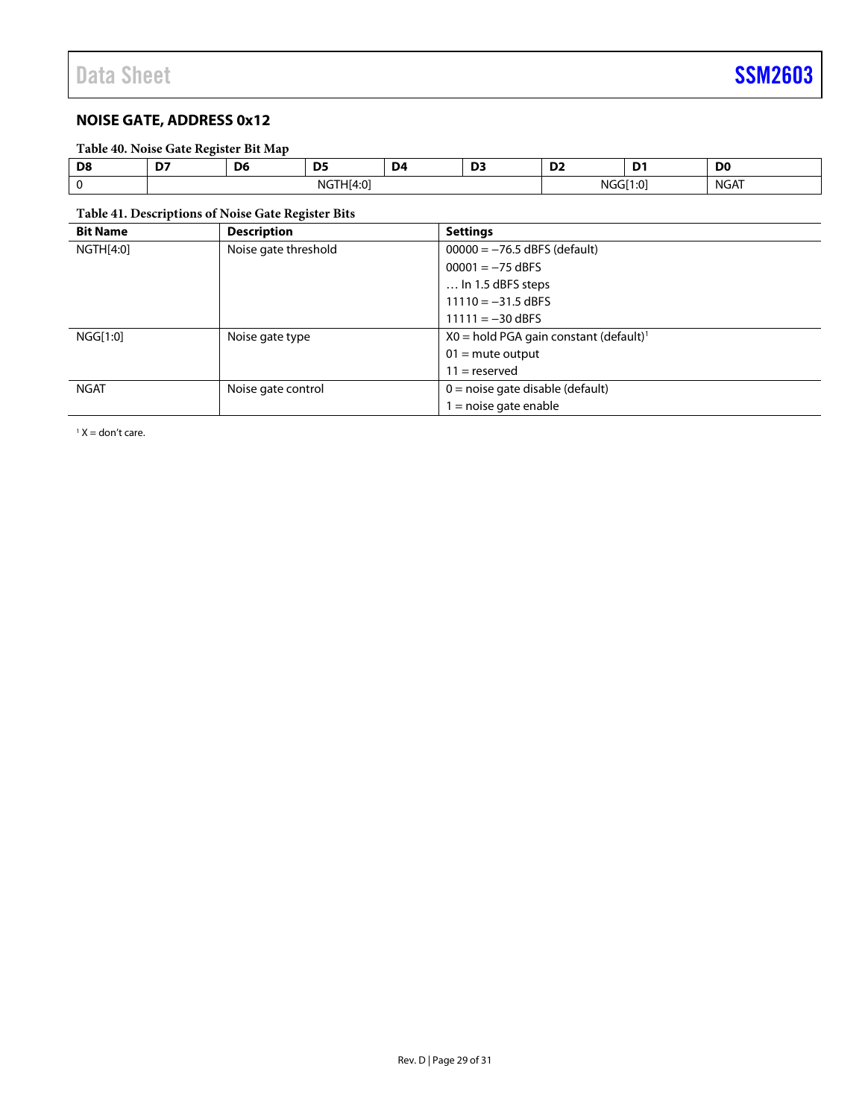### <span id="page-28-0"></span>**NOISE GATE, ADDRESS 0x12**

### **Table 40. Noise Gate Register Bit Map**

| Dδ | $- -$                | <br>υe | . . |  | --<br>-- | $\sim$<br>. |                          | D <sub>0</sub> |  |
|----|----------------------|--------|-----|--|----------|-------------|--------------------------|----------------|--|
|    | ה-^<br>ע.⊤<br>.<br>. |        |     |  |          | <b>NIC</b>  | - - - -<br>$\sim$<br>. . | NGAT           |  |

### <span id="page-28-1"></span>**Table 41. Descriptions of Noise Gate Register Bits**

| <b>Bit Name</b>                   | <b>Description</b> | <b>Settings</b>                                      |
|-----------------------------------|--------------------|------------------------------------------------------|
| Noise gate threshold<br>NGTH[4:0] |                    | $00000 = -76.5$ dBFS (default)                       |
|                                   |                    | $00001 = -75$ dBFS                                   |
|                                   |                    | $\dots$ In 1.5 dBFS steps                            |
|                                   |                    | $11110 = -31.5$ dBFS                                 |
|                                   |                    | $11111 = -30$ dBFS                                   |
| NGG[1:0]                          | Noise gate type    | $X0 =$ hold PGA gain constant (default) <sup>1</sup> |
|                                   |                    | $01 =$ mute output                                   |
|                                   |                    | $11 =$ reserved                                      |
| <b>NGAT</b>                       | Noise gate control | $0 =$ noise gate disable (default)                   |
|                                   |                    | l = noise gate enable                                |

 $1 X =$  don't care.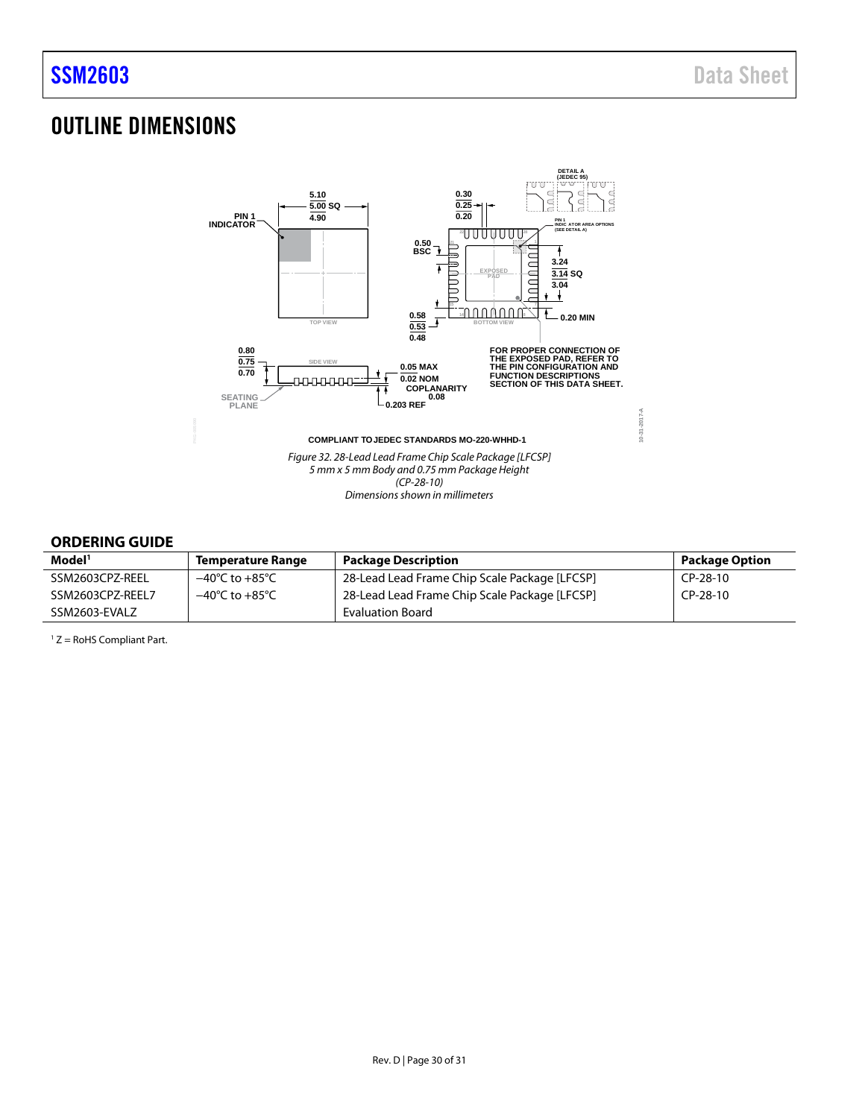## <span id="page-29-0"></span>OUTLINE DIMENSIONS



### <span id="page-29-1"></span>**ORDERING GUIDE**

| Model <sup>1</sup> | <b>Temperature Range</b>           | <b>Package Description</b>                    | <b>Package Option</b> |
|--------------------|------------------------------------|-----------------------------------------------|-----------------------|
| SSM2603CPZ-REEL    | $-40^{\circ}$ C to $+85^{\circ}$ C | 28-Lead Lead Frame Chip Scale Package [LFCSP] | CP-28-10              |
| SSM2603CPZ-REEL7   | $-40^{\circ}$ C to $+85^{\circ}$ C | 28-Lead Lead Frame Chip Scale Package [LFCSP] | $CP-28-10$            |
| SSM2603-EVALZ      |                                    | Evaluation Board                              |                       |

<sup>1</sup> Z = RoHS Compliant Part.